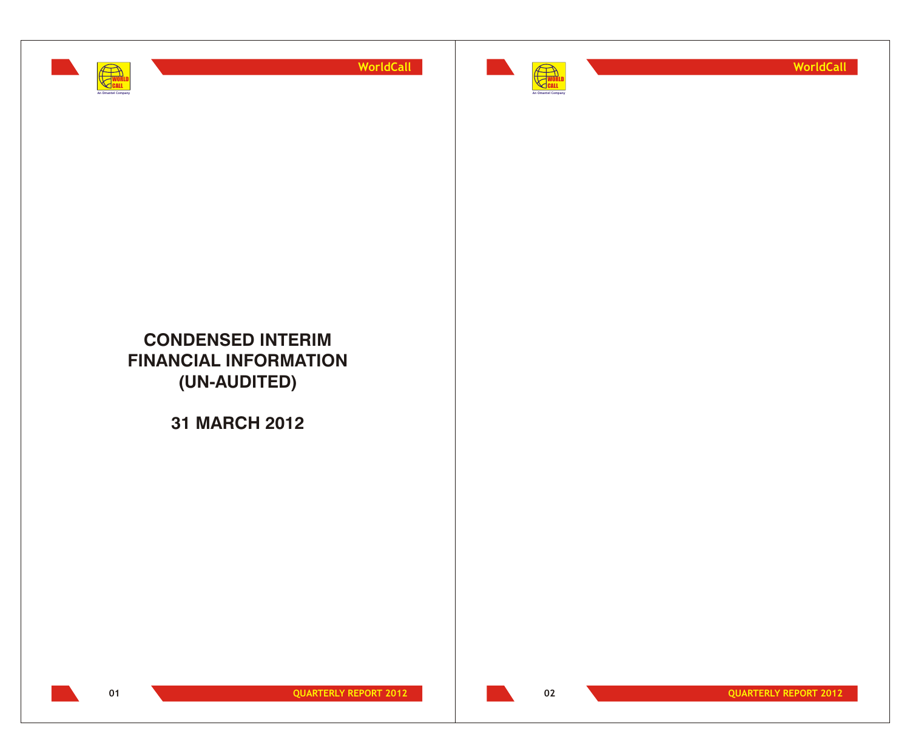



**WorldCall**

# **CONDENSED INTERIM FINANCIAL INFORMATION (UN-AUDITED)**

**31 MARCH 2012**

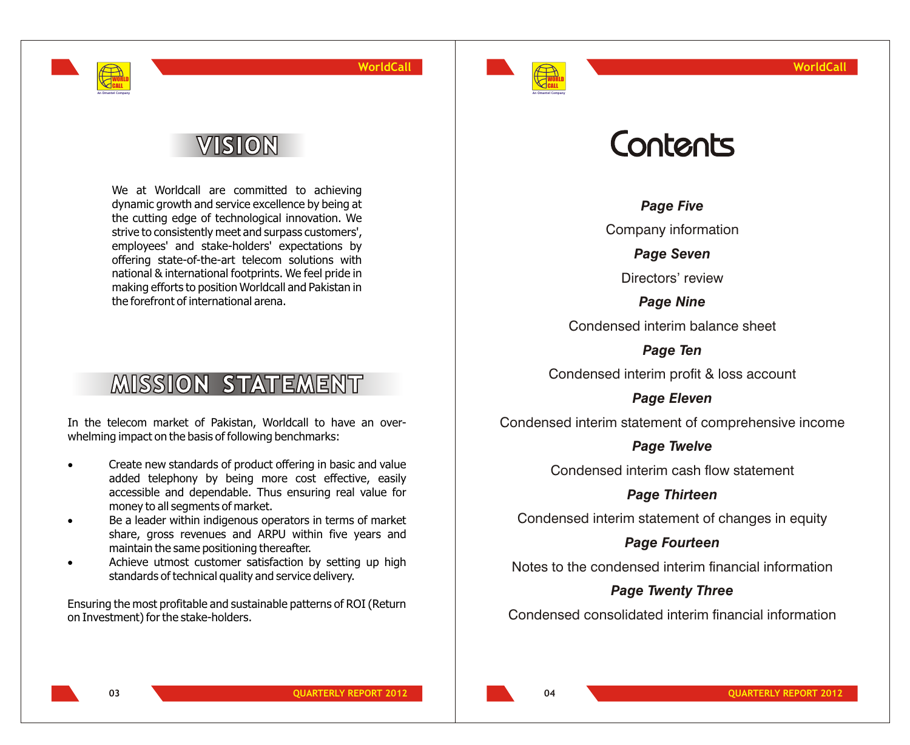

# VISION

WORLD CALL **An Omantel Company**

> We at Worldcall are committed to achieving dynamic growth and service excellence by being at the cutting edge of technological innovation. We strive to consistently meet and surpass customers', employees' and stake-holders' expectations by offering state-of-the-art telecom solutions with national & international footprints. We feel pride in making efforts to position Worldcall and Pakistan in the forefront of international arena.

# **MISSION STATEMENT**

In the telecom market of Pakistan, Worldcall to have an overwhelming impact on the basis of following benchmarks:

- Create new standards of product offering in basic and value added telephony by being more cost effective, easily accessible and dependable. Thus ensuring real value for money to all segments of market.
- Be a leader within indigenous operators in terms of market share, gross revenues and ARPU within five years and maintain the same positioning thereafter.
- Achieve utmost customer satisfaction by setting up high standards of technical quality and service delivery.

Ensuring the most profitable and sustainable patterns of ROI (Return on Investment) for the stake-holders.

# Contents

*Page Five*

Company information

*Page Seven*

Directors' review

*Page Nine* Condensed interim balance sheet

*Page Ten*

Condensed interim profit & loss account

*Page Eleven*

Condensed interim statement of comprehensive income

## *Page Twelve*

Condensed interim cash flow statement

*Page Thirteen*

Condensed interim statement of changes in equity

*Page Fourteen*

Notes to the condensed interim financial information

## *Page Twenty Three*

Condensed consolidated interim financial information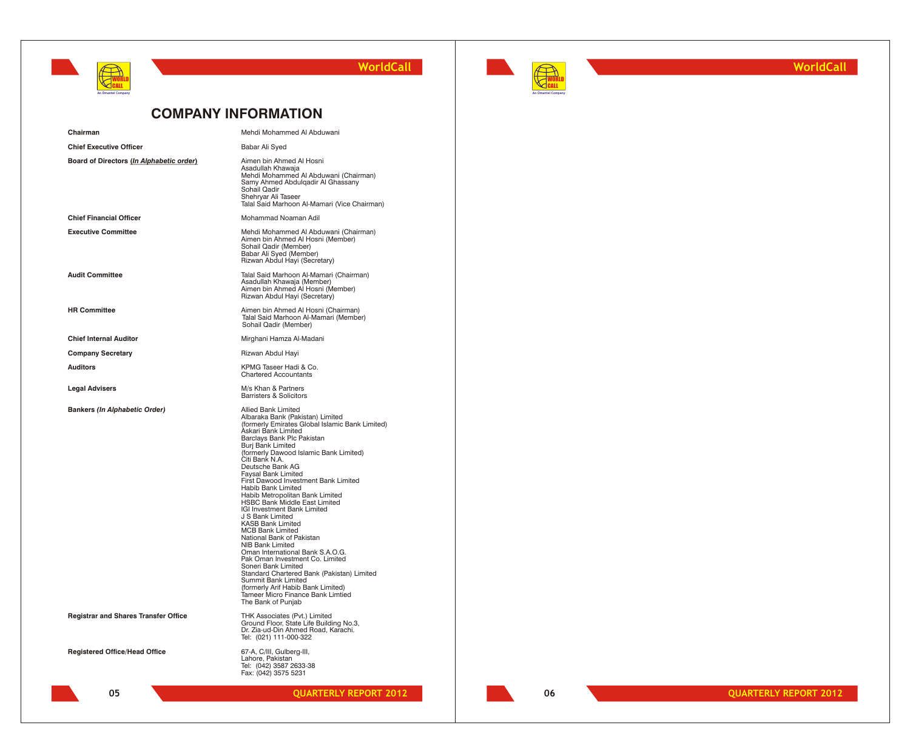



**WorldCall**

## **COMPANY INFORMATION**

| Chairman                                    | Mehdi Mohammed Al Abduwani                                                                                                                                                                                                                                                                                                                                                                                                                                                                                                                                                                                                                                                                                                                                                                                                                                                 |
|---------------------------------------------|----------------------------------------------------------------------------------------------------------------------------------------------------------------------------------------------------------------------------------------------------------------------------------------------------------------------------------------------------------------------------------------------------------------------------------------------------------------------------------------------------------------------------------------------------------------------------------------------------------------------------------------------------------------------------------------------------------------------------------------------------------------------------------------------------------------------------------------------------------------------------|
| <b>Chief Executive Officer</b>              | Babar Ali Syed                                                                                                                                                                                                                                                                                                                                                                                                                                                                                                                                                                                                                                                                                                                                                                                                                                                             |
| Board of Directors (In Alphabetic order)    | Aimen bin Ahmed Al Hosni<br>Asadullah Khawaja<br>Mehdi Mohammed Al Abduwani (Chairman)<br>Samy Ahmed Abdulgadir Al Ghassany<br>Sohail Qadir<br>Shehryar Ali Taseer<br>Talal Said Marhoon Al-Mamari (Vice Chairman)                                                                                                                                                                                                                                                                                                                                                                                                                                                                                                                                                                                                                                                         |
| <b>Chief Financial Officer</b>              | Mohammad Noaman Adil                                                                                                                                                                                                                                                                                                                                                                                                                                                                                                                                                                                                                                                                                                                                                                                                                                                       |
| <b>Executive Committee</b>                  | Mehdi Mohammed Al Abduwani (Chairman)<br>Aimen bin Ahmed Al Hosni (Member)<br>Sohail Qadir (Member)<br>Babar Ali Syed (Member)<br>Rizwan Abdul Hayi (Secretary)                                                                                                                                                                                                                                                                                                                                                                                                                                                                                                                                                                                                                                                                                                            |
| <b>Audit Committee</b>                      | Talal Said Marhoon Al-Mamari (Chairman)<br>Asadullah Khawaja (Member)<br>Aimen bin Ahmed Al Hosni (Member)<br>Rizwan Abdul Hayi (Secretary)                                                                                                                                                                                                                                                                                                                                                                                                                                                                                                                                                                                                                                                                                                                                |
| <b>HR Committee</b>                         | Aimen bin Ahmed Al Hosni (Chairman)<br>Talal Said Marhoon Al-Mamari (Member)<br>Sohail Qadir (Member)                                                                                                                                                                                                                                                                                                                                                                                                                                                                                                                                                                                                                                                                                                                                                                      |
| <b>Chief Internal Auditor</b>               | Mirghani Hamza Al-Madani                                                                                                                                                                                                                                                                                                                                                                                                                                                                                                                                                                                                                                                                                                                                                                                                                                                   |
| <b>Company Secretary</b>                    | Rizwan Abdul Hayi                                                                                                                                                                                                                                                                                                                                                                                                                                                                                                                                                                                                                                                                                                                                                                                                                                                          |
| <b>Auditors</b>                             | KPMG Taseer Hadi & Co.<br><b>Chartered Accountants</b>                                                                                                                                                                                                                                                                                                                                                                                                                                                                                                                                                                                                                                                                                                                                                                                                                     |
| <b>Legal Advisers</b>                       | M/s Khan & Partners<br><b>Barristers &amp; Solicitors</b>                                                                                                                                                                                                                                                                                                                                                                                                                                                                                                                                                                                                                                                                                                                                                                                                                  |
| Bankers (In Alphabetic Order)               | Allied Bank Limited<br>Albaraka Bank (Pakistan) Limited<br>(formerly Emirates Global Islamic Bank Limited)<br>Askari Bank Limited<br>Barclays Bank Plc Pakistan<br><b>Burj Bank Limited</b><br>(formerly Dawood Islamic Bank Limited)<br>Citi Bank N.A.<br>Deutsche Bank AG<br><b>Faysal Bank Limited</b><br>First Dawood Investment Bank Limited<br>Habib Bank Limited<br>Habib Metropolitan Bank Limited<br>HSBC Bank Middle East Limited<br>IGI Investment Bank Limited<br>J S Bank Limited<br><b>KASB Bank Limited</b><br><b>MCB Bank Limited</b><br>National Bank of Pakistan<br>NIB Bank Limited<br>Oman International Bank S.A.O.G.<br>Pak Oman Investment Co. Limited<br>Soneri Bank Limited<br>Standard Chartered Bank (Pakistan) Limited<br>Summit Bank Limited<br>(formerly Arif Habib Bank Limited)<br>Tameer Micro Finance Bank Limtied<br>The Bank of Punjab |
| <b>Registrar and Shares Transfer Office</b> | THK Associates (Pvt.) Limited<br>Ground Floor, State Life Building No.3,<br>Dr. Zia-ud-Din Ahmed Road, Karachi.<br>Tel: (021) 111-000-322                                                                                                                                                                                                                                                                                                                                                                                                                                                                                                                                                                                                                                                                                                                                  |
| <b>Registered Office/Head Office</b>        | 67-A, C/III, Gulberg-III,<br>Lahore, Pakistan<br>Tel: (042) 3587 2633-38<br>Fax: (042) 3575 5231                                                                                                                                                                                                                                                                                                                                                                                                                                                                                                                                                                                                                                                                                                                                                                           |
| 05                                          | <b>QUARTERLY REPORT 2012</b>                                                                                                                                                                                                                                                                                                                                                                                                                                                                                                                                                                                                                                                                                                                                                                                                                                               |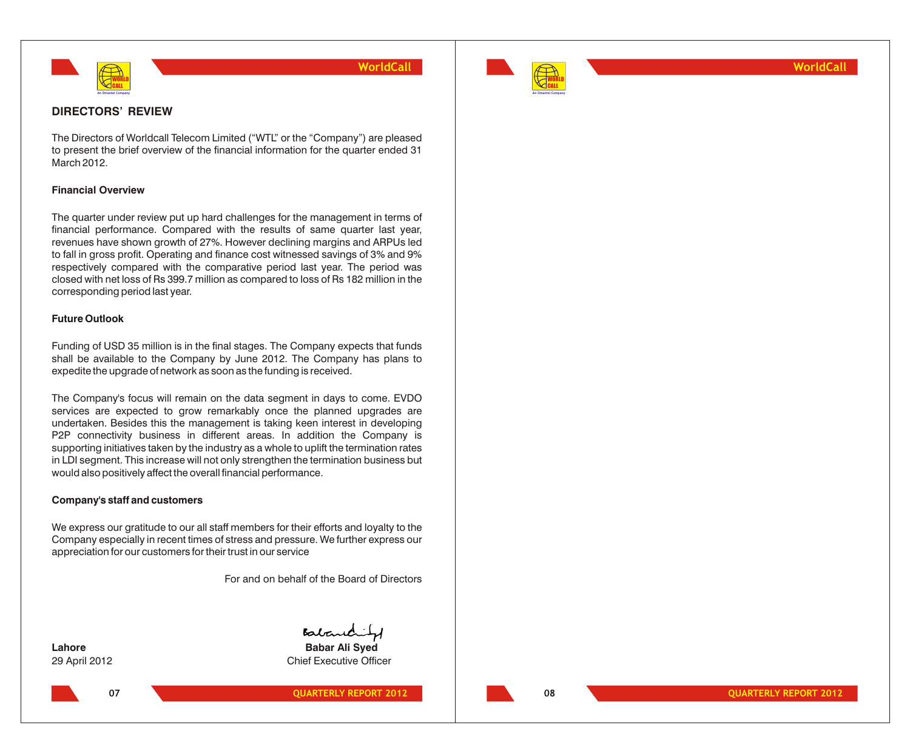



**WorldCall**

## **DIRECTORS' REVIEW**

The Directors of Worldcall Telecom Limited ("WTL" or the "Company") are pleased to present the brief overview of the financial information for the quarter ended 31 March 2012.

## **Financial Overview**

The quarter under review put up hard challenges for the management in terms of financial performance. Compared with the results of same quarter last year, revenues have shown growth of 27%. However declining margins and ARPUs led to fall in gross profit. Operating and finance cost witnessed savings of 3% and 9% respectively compared with the comparative period last year. The period was closed with net loss of Rs 399.7 million as compared to loss of Rs 182 million in the corresponding period last year.

## **Future Outlook**

Funding of USD 35 million is in the final stages. The Company expects that funds shall be available to the Company by June 2012. The Company has plans to expedite the upgrade of network as soon as the funding is received.

The Company's focus will remain on the data segment in days to come. EVDO services are expected to grow remarkably once the planned upgrades are undertaken. Besides this the management is taking keen interest in developing P2P connectivity business in different areas. In addition the Company is supporting initiatives taken by the industry as a whole to uplift the termination rates in LDI segment. This increase will not only strengthen the termination business but would also positively affect the overall financial performance.

## **Company's staff and customers**

We express our gratitude to our all staff members for their efforts and loyalty to the Company especially in recent times of stress and pressure. We further express our appreciation for our customers for their trust in our service

For and on behalf of the Board of Directors

Babardity

**Lahore Babar Ali Syed** 29 April 2012 Chief Executive Officer

**O7 QUARTERLY REPORT 2012**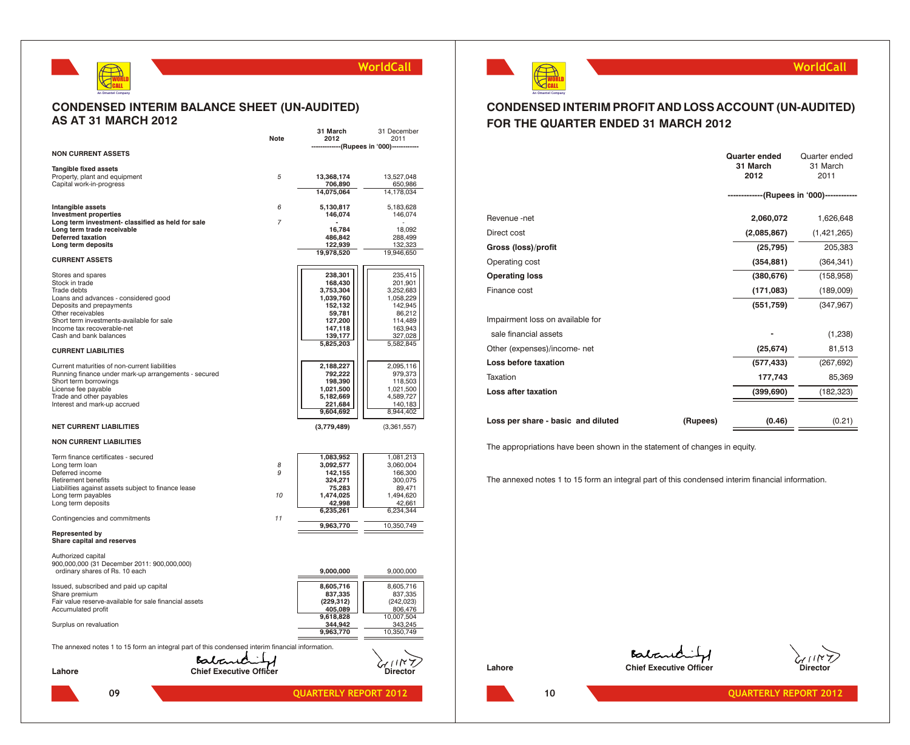

## **CONDENSED INTERIM BALANCE SHEET (UN-AUDITED) AS AT 31 MARCH 2012**

|                                                                                                  |                                | 31 March                     | 31 December                 |
|--------------------------------------------------------------------------------------------------|--------------------------------|------------------------------|-----------------------------|
|                                                                                                  | Note                           | 2012                         | 2011<br>--(Rupees in '000)- |
| <b>NON CURRENT ASSETS</b>                                                                        |                                |                              |                             |
| <b>Tangible fixed assets</b>                                                                     |                                |                              |                             |
| Property, plant and equipment                                                                    | 5                              | 13,368,174                   | 13,527,048                  |
| Capital work-in-progress                                                                         |                                | 706,890                      | 650,986                     |
|                                                                                                  |                                | 14,075,064                   | 14,178,034                  |
| Intangible assets                                                                                | 6                              | 5,130,817                    | 5,183,628                   |
| <b>Investment properties</b>                                                                     |                                | 146,074                      | 146,074                     |
| Long term investment- classified as held for sale<br>Long term trade receivable                  | $\overline{7}$                 | 16,784                       | 18,092                      |
| Deferred taxation                                                                                |                                | 486,842                      | 288,499                     |
| Long term deposits                                                                               |                                | 122,939                      | 132,323                     |
| <b>CURRENT ASSETS</b>                                                                            |                                | 19,978,520                   | 19,946,650                  |
|                                                                                                  |                                |                              |                             |
| Stores and spares                                                                                |                                | 238,301                      | 235.415                     |
| Stock in trade<br>Trade debts                                                                    |                                | 168,430<br>3,753,304         | 201,901<br>3,252,683        |
| Loans and advances - considered good                                                             |                                | 1,039,760                    | 1,058,229                   |
| Deposits and prepayments                                                                         |                                | 152,132                      | 142,945                     |
| Other receivables                                                                                |                                | 59,781                       | 86,212                      |
| Short term investments-available for sale                                                        |                                | 127,200                      | 114,489                     |
| Income tax recoverable-net<br>Cash and bank balances                                             |                                | 147,118<br>139,177           | 163,943<br>327,028          |
|                                                                                                  |                                | 5,825,203                    | 5,582,845                   |
| <b>CURRENT LIABILITIES</b>                                                                       |                                |                              |                             |
| Current maturities of non-current liabilities                                                    |                                | 2,188,227                    | 2,095,116                   |
| Running finance under mark-up arrangements - secured                                             |                                | 792,222                      | 979,373                     |
| Short term borrowings                                                                            |                                | 198,390                      | 118,503                     |
| License fee payable                                                                              |                                | 1,021,500                    | 1,021,500                   |
| Trade and other payables<br>Interest and mark-up accrued                                         |                                | 5,182,669<br>221,684         | 4,589,727<br>140,183        |
|                                                                                                  |                                | 9,604,692                    | 8,944,402                   |
| <b>NET CURRENT LIABILITIES</b>                                                                   |                                | (3,779,489)                  | (3,361,557)                 |
| <b>NON CURRENT LIABILITIES</b>                                                                   |                                |                              |                             |
| Term finance certificates - secured                                                              |                                | 1,083,952                    | 1,081,213                   |
| Long term loan                                                                                   | 8                              | 3,092,577                    | 3,060,004                   |
| Deferred income                                                                                  | 9                              | 142,155                      | 166,300                     |
| <b>Retirement benefits</b>                                                                       |                                | 324,271                      | 300,075                     |
| Liabilities against assets subject to finance lease<br>Long term payables                        | 10                             | 75,283<br>1,474,025          | 89,471<br>1,494,620         |
| Long term deposits                                                                               |                                | 42,998                       | 42,661                      |
|                                                                                                  |                                | 6,235,261                    | 6,234,344                   |
| Contingencies and commitments                                                                    | 11                             | 9,963,770                    | 10,350,749                  |
| <b>Represented by</b><br>Share capital and reserves                                              |                                |                              |                             |
| Authorized capital                                                                               |                                |                              |                             |
| 900,000,000 (31 December 2011: 900,000,000)                                                      |                                |                              |                             |
| ordinary shares of Rs. 10 each                                                                   |                                | 9,000,000                    | 9,000,000                   |
| Issued, subscribed and paid up capital                                                           |                                | 8,605,716                    | 8,605,716                   |
| Share premium                                                                                    |                                | 837,335                      | 837,335                     |
| Fair value reserve-available for sale financial assets                                           |                                | (229, 312)                   | (242, 023)                  |
| Accumulated profit                                                                               |                                | 405,089<br>9,618,828         | 806,476<br>10,007,504       |
| Surplus on revaluation                                                                           |                                | 344,942                      | 343,245                     |
|                                                                                                  |                                | 9,963,770                    | 10,350,749                  |
| The annexed notes 1 to 15 form an integral part of this condensed interim financial information. |                                |                              |                             |
|                                                                                                  | Babandit                       |                              |                             |
| Lahore                                                                                           | <b>Chief Executive Officer</b> |                              | Director                    |
|                                                                                                  |                                |                              |                             |
| 09                                                                                               |                                | <b>QUARTERLY REPORT 2012</b> |                             |



## **WorldCall**

## **CONDENSED INTERIM PROFIT AND LOSS ACCOUNT (UN-AUDITED) FOR THE QUARTER ENDED 31 MARCH 2012**

|                                    |          | <b>Quarter ended</b><br>31 March<br>2012  | Quarter ended<br>31 March<br>2011 |
|------------------------------------|----------|-------------------------------------------|-----------------------------------|
|                                    |          | -------------(Rupees in '000)------------ |                                   |
| Revenue -net                       |          | 2,060,072                                 | 1,626,648                         |
| Direct cost                        |          | (2,085,867)                               | (1,421,265)                       |
| Gross (loss)/profit                |          | (25, 795)                                 | 205,383                           |
| Operating cost                     |          | (354, 881)                                | (364, 341)                        |
| <b>Operating loss</b>              |          | (380, 676)                                | (158, 958)                        |
| Finance cost                       |          | (171, 083)                                | (189,009)                         |
|                                    |          | (551, 759)                                | (347, 967)                        |
| Impairment loss on available for   |          |                                           |                                   |
| sale financial assets              |          |                                           | (1,238)                           |
| Other (expenses)/income- net       |          | (25, 674)                                 | 81,513                            |
| Loss before taxation               |          | (577, 433)                                | (267, 692)                        |
| Taxation                           |          | 177,743                                   | 85,369                            |
| <b>Loss after taxation</b>         |          | (399, 690)                                | (182, 323)                        |
| Loss per share - basic and diluted | (Rupees) | (0.46)                                    | (0.21)                            |

The appropriations have been shown in the statement of changes in equity.

The annexed notes 1 to 15 form an integral part of this condensed interim financial information.

Babandity Lahore **Chief Executive Officer** Chief Executive Officer **Chief** Chief **Chief** Chief **Chief** Chief **Chief Chief Chief Chief Chief Chief Chief Chief Chief Chief Chief Chief Chief Chief Chief Ch** 

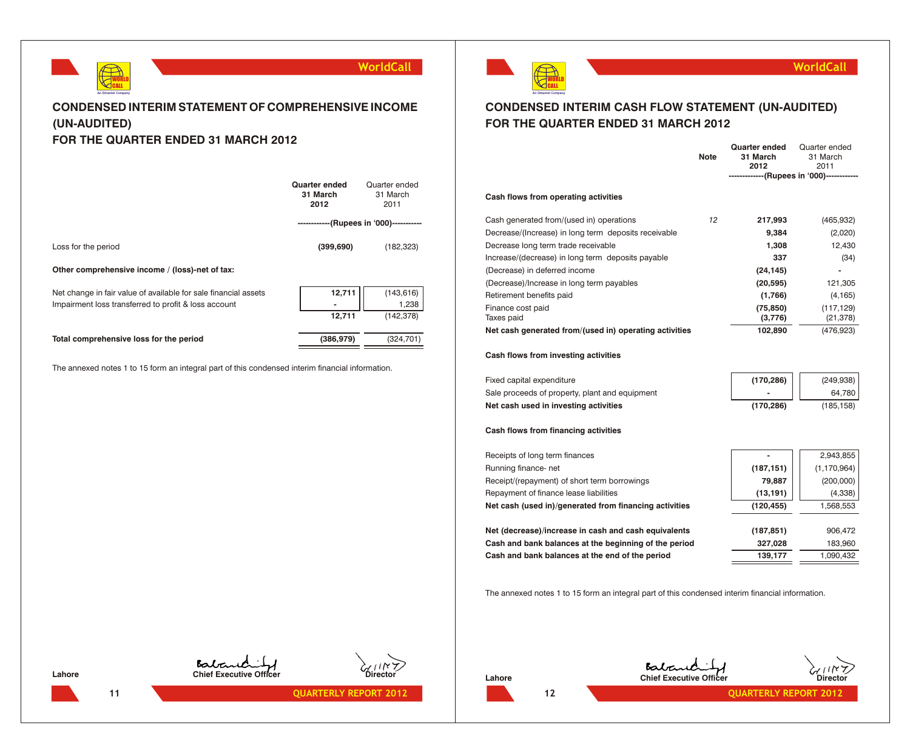

## **CONDENSED INTERIM STATEMENT OF COMPREHENSIVE INCOME (UN-AUDITED) FOR THE QUARTER ENDED 31 MARCH 2012**

|                                                                                                                         | Quarter ended<br>31 March<br>2012        | Quarter ended<br>31 March<br>2011 |
|-------------------------------------------------------------------------------------------------------------------------|------------------------------------------|-----------------------------------|
|                                                                                                                         | ------------ (Rupees in '000)----------- |                                   |
| Loss for the period                                                                                                     | (399, 690)                               | (182, 323)                        |
| Other comprehensive income / (loss)-net of tax:                                                                         |                                          |                                   |
| Net change in fair value of available for sale financial assets<br>Impairment loss transferred to profit & loss account | 12,711                                   | (143,616)<br>1,238                |
|                                                                                                                         | 12,711                                   | (142, 378)                        |
| Total comprehensive loss for the period                                                                                 | (386, 979)                               | (324, 701)                        |
| The annexed notes 1 to 15 form an integral part of this condensed interim financial information.                        |                                          |                                   |

**11 QUARTERLY REPORT 2012** 



## **CONDENSED INTERIM CASH FLOW STATEMENT (UN-AUDITED) FOR THE QUARTER ENDED 31 MARCH 2012**

|                                                        | <b>Note</b> | <b>Quarter ended</b><br>31 March<br>2012 | Quarter ended<br>31 March<br>2011<br>-------------(Rupees in '000)------------ |
|--------------------------------------------------------|-------------|------------------------------------------|--------------------------------------------------------------------------------|
| Cash flows from operating activities                   |             |                                          |                                                                                |
| Cash generated from/(used in) operations               | 12          | 217,993                                  | (465, 932)                                                                     |
| Decrease/(Increase) in long term deposits receivable   |             | 9,384                                    | (2,020)                                                                        |
| Decrease long term trade receivable                    |             | 1,308                                    | 12,430                                                                         |
| Increase/(decrease) in long term deposits payable      |             | 337                                      | (34)                                                                           |
| (Decrease) in deferred income                          |             | (24, 145)                                | $\blacksquare$                                                                 |
| (Decrease)/Increase in long term payables              |             | (20, 595)                                | 121,305                                                                        |
| Retirement benefits paid                               |             | (1,766)                                  | (4, 165)                                                                       |
| Finance cost paid<br>Taxes paid                        |             | (75, 850)<br>(3,776)                     | (117, 129)<br>(21, 378)                                                        |
| Net cash generated from/(used in) operating activities |             | 102,890                                  | (476, 923)                                                                     |
|                                                        |             |                                          |                                                                                |

## **Cash flows from investing activities**

| Fixed capital expenditure                      | (170, 286)               | (249, 938) |
|------------------------------------------------|--------------------------|------------|
| Sale proceeds of property, plant and equipment | $\overline{\phantom{a}}$ | 64.780     |
| Net cash used in investing activities          | (170.286)                | (185.158)  |

## **Cash flows from financing activities**

| Receipts of long term finances                         |            | 2,943,855     |
|--------------------------------------------------------|------------|---------------|
| Running finance-net                                    | (187, 151) | (1, 170, 964) |
| Receipt/(repayment) of short term borrowings           | 79.887     | (200,000)     |
| Repayment of finance lease liabilities                 | (13, 191)  | (4,338)       |
| Net cash (used in)/generated from financing activities | (120, 455) | 1,568,553     |
|                                                        |            |               |
| Net (decrease)/increase in cash and cash equivalents   | (187, 851) | 906,472       |
| Cash and bank balances at the beginning of the period  | 327,028    | 183,960       |
| Cash and bank balances at the end of the period        | 139,177    | 1,090,432     |
|                                                        |            |               |

The annexed notes 1 to 15 form an integral part of this condensed interim financial information.



**Lahore Chief Executive Officer Chief Executive Officer Chief Executive Officer** 



**WorldCall**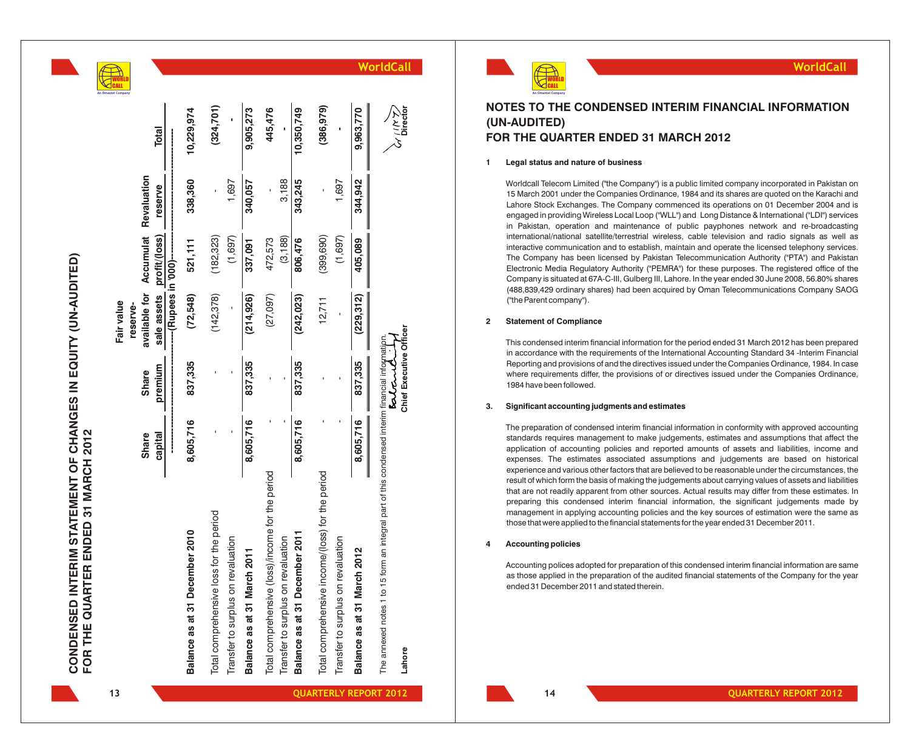

D

**n y**

|                                                  |              |                | Fair value<br>reserve-                |               |         |              |
|--------------------------------------------------|--------------|----------------|---------------------------------------|---------------|---------|--------------|
|                                                  | <b>Share</b> | <b>Share</b>   | available for Accumulat Revaluation   |               |         |              |
|                                                  | capital      | premium        | sale assets                           | profit/(loss) | reserve | <b>Total</b> |
|                                                  | <br> <br>    | <br> <br> <br> | ----------(Rupees in '000)----------- |               |         |              |
| Balance as at 31 December 2010                   | 8,605,716    | 837,335        | (72,548)                              | 521, 111      | 338,360 | 10,229,974   |
| Total comprehensive loss for the period          |              |                | (142, 378)                            | (182, 323)    |         | (324, 701)   |
| Transfer to surplus on revaluation               |              |                |                                       | (1,697)       | 1,697   |              |
| Balance as at 31 March 2011                      | 8,605,716    | 837,335        | (214, 926)                            | 337,091       | 340,057 | 9,905,273    |
| Total comprehensive (loss)/income for the period |              |                | (27,097)                              | 472,573       |         | 445,476      |
| Transfer to surplus on revaluation               |              |                |                                       | (3, 188)      | 3,188   |              |
| Balance as at 31 December 2011                   | 8,605,716    | 837,335        | (242, 023)                            | 806,476       | 343,245 | 10,350,749   |
| Total comprehensive income/(loss) for the period |              |                | 12,711                                | (399, 690)    |         | (386, 979)   |
| Transfer to surplus on revaluation               |              |                |                                       | (1,697)       | 1,697   |              |
| Balance as at 31 March 2012                      | 8,605,716    | 837,335        | (229, 312)                            | 405,089       | 344,942 | 9,963,770    |
|                                                  |              |                |                                       |               |         |              |

## **WorldCall**



## **NOTES TO THE CONDENSED INTERIM FINANCIAL INFORMATION (UN-AUDITED) FOR THE QUARTER ENDED 31 MARCH 2012**

### **1 Legal status and nature of business**

Worldcall Telecom Limited ("the Company") is a public limited company incorporated in Pakistan on 15 March 2001 under the Companies Ordinance, 1984 and its shares are quoted on the Karachi and Lahore Stock Exchanges. The Company commenced its operations on 01 December 2004 and is engaged in providing Wireless Local Loop ("WLL") and Long Distance & International ("LDI") services in Pakistan, operation and maintenance of public payphones network and re-broadcasting international/national satellite/terrestrial wireless, cable television and radio signals as well as interactive communication and to establish, maintain and operate the licensed telephony services. The Company has been licensed by Pakistan Telecommunication Authority ("PTA") and Pakistan Electronic Media Regulatory Authority ("PEMRA") for these purposes. The registered office of the Company is situated at 67A-C-III, Gulberg III, Lahore. In the year ended 30 June 2008, 56.80% shares (488,839,429 ordinary shares) had been acquired by Oman Telecommunications Company SAOG ("the Parent company").

## **2 Statement of Compliance**

This condensed interim financial information for the period ended 31 March 2012 has been prepared in accordance with the requirements of the International Accounting Standard 34 -Interim Financial Reporting and provisions of and the directives issued under the Companies Ordinance, 1984. In case where requirements differ, the provisions of or directives issued under the Companies Ordinance, 1984 have been followed.

### **3. Significant accounting judgments and estimates**

The preparation of condensed interim financial information in conformity with approved accounting standards requires management to make judgements, estimates and assumptions that affect the application of accounting policies and reported amounts of assets and liabilities, income and expenses. The estimates associated assumptions and judgements are based on historical experience and various other factors that are believed to be reasonable under the circumstances, the result of which form the basis of making the judgements about carrying values of assets and liabilities that are not readily apparent from other sources. Actual results may differ from these estimates. In preparing this condensed interim financial information, the significant judgements made by management in applying accounting policies and the key sources of estimation were the same as those that were applied to the financial statements for the year ended 31 December 2011.

### **4 Accounting policies**

Accounting polices adopted for preparation of this condensed interim financial information are same as those applied in the preparation of the audited financial statements of the Company for the year ended 31 December 2011 and stated therein.

**CONDENSED INTERIM STATEMENT OF CHANGES IN EQUITY (UN-AUDITED)**

CONDENSED INTERIM STATEMENT OF CHANGES IN EQUITY (UN-AUDITED)

**FOR THE QUARTER ENDED 31 MARCH 2012**

FOR THE QUARTER ENDED 31 MARCH 2012

The annexed notes 1 to 15 form an integral part of this condensed interim financial information.

The annexed Lahore

notes 1 to 15 form an integral part of this condensed interim financial information

**Lahore Chief Executive Officer Director**

Chief Executive Officer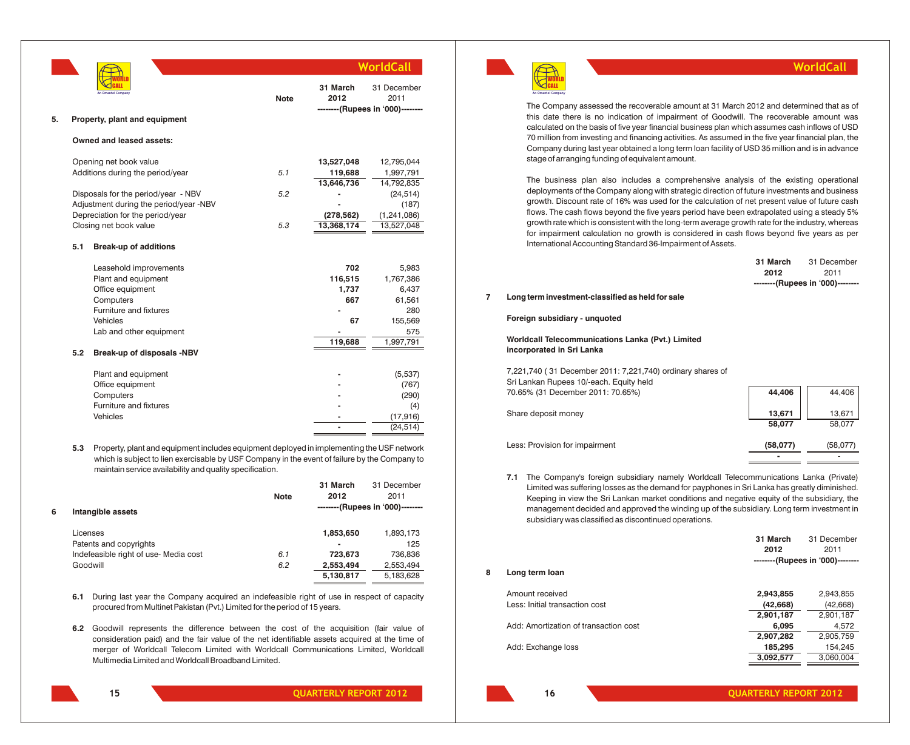|    |     |                                                                                                                                                                                                                                                                                                                                                                                                          |             |                  | WorldCall                                               |
|----|-----|----------------------------------------------------------------------------------------------------------------------------------------------------------------------------------------------------------------------------------------------------------------------------------------------------------------------------------------------------------------------------------------------------------|-------------|------------------|---------------------------------------------------------|
|    |     | An Omantel Company                                                                                                                                                                                                                                                                                                                                                                                       | <b>Note</b> | 31 March<br>2012 | 31 December<br>2011<br>--------(Rupees in '000)-------- |
| 5. |     | Property, plant and equipment                                                                                                                                                                                                                                                                                                                                                                            |             |                  |                                                         |
|    |     | Owned and leased assets:                                                                                                                                                                                                                                                                                                                                                                                 |             |                  |                                                         |
|    |     | Opening net book value                                                                                                                                                                                                                                                                                                                                                                                   |             | 13,527,048       | 12,795,044                                              |
|    |     | Additions during the period/year                                                                                                                                                                                                                                                                                                                                                                         | 5.1         | 119,688          | 1,997,791                                               |
|    |     |                                                                                                                                                                                                                                                                                                                                                                                                          |             | 13,646,736       | 14,792,835                                              |
|    |     | Disposals for the period/year - NBV                                                                                                                                                                                                                                                                                                                                                                      | 5.2         |                  | (24, 514)                                               |
|    |     | Adjustment during the period/year -NBV                                                                                                                                                                                                                                                                                                                                                                   |             |                  | (187)                                                   |
|    |     | Depreciation for the period/year                                                                                                                                                                                                                                                                                                                                                                         |             | (278, 562)       | (1, 241, 086)                                           |
|    |     | Closing net book value                                                                                                                                                                                                                                                                                                                                                                                   | 5.3         | 13,368,174       | 13,527,048                                              |
|    | 5.1 | <b>Break-up of additions</b>                                                                                                                                                                                                                                                                                                                                                                             |             |                  |                                                         |
|    |     | Leasehold improvements                                                                                                                                                                                                                                                                                                                                                                                   |             | 702              | 5,983                                                   |
|    |     | Plant and equipment                                                                                                                                                                                                                                                                                                                                                                                      |             | 116,515          | 1,767,386                                               |
|    |     | Office equipment                                                                                                                                                                                                                                                                                                                                                                                         |             | 1,737            | 6,437                                                   |
|    |     | Computers                                                                                                                                                                                                                                                                                                                                                                                                |             | 667              | 61,561                                                  |
|    |     | Furniture and fixtures                                                                                                                                                                                                                                                                                                                                                                                   |             |                  | 280                                                     |
|    |     | Vehicles                                                                                                                                                                                                                                                                                                                                                                                                 |             | 67               | 155,569                                                 |
|    |     | Lab and other equipment                                                                                                                                                                                                                                                                                                                                                                                  |             |                  | 575                                                     |
|    |     |                                                                                                                                                                                                                                                                                                                                                                                                          |             | 119,688          | 1,997,791                                               |
|    | 5.2 | Break-up of disposals -NBV                                                                                                                                                                                                                                                                                                                                                                               |             |                  |                                                         |
|    |     | Plant and equipment                                                                                                                                                                                                                                                                                                                                                                                      |             |                  | (5,537)                                                 |
|    |     | Office equipment                                                                                                                                                                                                                                                                                                                                                                                         |             |                  | (767)                                                   |
|    |     | Computers                                                                                                                                                                                                                                                                                                                                                                                                |             |                  | (290)                                                   |
|    |     | Furniture and fixtures                                                                                                                                                                                                                                                                                                                                                                                   |             |                  | (4)                                                     |
|    |     | Vehicles                                                                                                                                                                                                                                                                                                                                                                                                 |             |                  | (17, 916)                                               |
|    |     |                                                                                                                                                                                                                                                                                                                                                                                                          |             |                  | (24, 514)                                               |
|    | 5.3 | Property, plant and equipment includes equipment deployed in implementing the USF network<br>$\mathbf{r}$ , $\mathbf{r}$ , $\mathbf{r}$ , $\mathbf{r}$ , $\mathbf{r}$ , $\mathbf{r}$ , $\mathbf{r}$ , $\mathbf{r}$ , $\mathbf{r}$ , $\mathbf{r}$ , $\mathbf{r}$ , $\mathbf{r}$ , $\mathbf{r}$ , $\mathbf{r}$ , $\mathbf{r}$ , $\mathbf{r}$ , $\mathbf{r}$ , $\mathbf{r}$ , $\mathbf{r}$ , $\mathbf{r}$ , |             |                  |                                                         |

which is subject to lien exercisable by USF Company in the event of failure by the Company to maintain service availability and quality specification.

|   |                                       |             | 31 March       | 31 December                      |
|---|---------------------------------------|-------------|----------------|----------------------------------|
|   |                                       | <b>Note</b> | 2012           | 2011                             |
| 6 | Intangible assets                     |             |                | --------(Rupees in '000)-------- |
|   | Licenses                              |             | 1,853,650      | 1,893,173                        |
|   | Patents and copyrights                |             | $\blacksquare$ | 125                              |
|   | Indefeasible right of use- Media cost | 6.1         | 723.673        | 736,836                          |
|   | Goodwill                              | 6.2         | 2,553,494      | 2,553,494                        |
|   |                                       |             | 5,130,817      | 5,183,628                        |
|   |                                       |             |                |                                  |

- **6.1** During last year the Company acquired an indefeasible right of use in respect of capacity procured from Multinet Pakistan (Pvt.) Limited for the period of 15 years.
- **6.2** Goodwill represents the difference between the cost of the acquisition (fair value of consideration paid) and the fair value of the net identifiable assets acquired at the time of merger of Worldcall Telecom Limited with Worldcall Communications Limited, Worldcall Multimedia Limited and Worldcall Broadband Limited.



## **WorldCall**

The Company assessed the recoverable amount at 31 March 2012 and determined that as of this date there is no indication of impairment of Goodwill. The recoverable amount was calculated on the basis of five year financial business plan which assumes cash inflows of USD 70 million from investing and financing activities. As assumed in the five year financial plan, the Company during last year obtained a long term loan facility of USD 35 million and is in advance stage of arranging funding of equivalent amount.

The business plan also includes a comprehensive analysis of the existing operational deployments of the Company along with strategic direction of future investments and business growth. Discount rate of 16% was used for the calculation of net present value of future cash flows. The cash flows beyond the five years period have been extrapolated using a steady 5% growth rate which is consistent with the long-term average growth rate for the industry, whereas for impairment calculation no growth is considered in cash flows beyond five years as per International Accounting Standard 36-Impairment of Assets.

| 31 March | 31 December                      |
|----------|----------------------------------|
| 2012     | 2011                             |
|          | --------(Rupees in '000)-------- |

## **7 Long term investment-classified as held for sale**

**Foreign subsidiary - unquoted**

**Worldcall Telecommunications Lanka (Pvt.) Limited incorporated in Sri Lanka**

7,221,740 ( 31 December 2011: 7,221,740) ordinary shares of Sri Lankan Rupees 10/-each. Equity held 70.65% (31 December 2011: 70.65%) **44,406** 44,406 Share deposit money **13,671 13,671 13,671 13,671 58,077** 58,077 Less: Provision for impairment **(58,077)** (58,077)

**7.1** The Company's foreign subsidiary namely Worldcall Telecommunications Lanka (Private) Limited was suffering losses as the demand for payphones in Sri Lanka has greatly diminished. Keeping in view the Sri Lankan market conditions and negative equity of the subsidiary, the management decided and approved the winding up of the subsidiary. Long term investment in subsidiary was classified as discontinued operations.

|   |                                       | 31 March  | 31 December                      |
|---|---------------------------------------|-----------|----------------------------------|
|   |                                       | 2012      | 2011                             |
|   |                                       |           | --------(Rupees in '000)-------- |
| 8 | Long term loan                        |           |                                  |
|   | Amount received                       | 2,943,855 | 2,943,855                        |
|   | Less: Initial transaction cost        | (42, 668) | (42, 668)                        |
|   |                                       | 2,901,187 | 2,901,187                        |
|   | Add: Amortization of transaction cost | 6,095     | 4,572                            |
|   |                                       | 2,907,282 | 2,905,759                        |
|   | Add: Exchange loss                    | 185,295   | 154,245                          |
|   |                                       | 3,092,577 | 3,060,004                        |

**15 QUARTERLY REPORT 2012**

**16 QUARTERLY REPORT 2012**

**-** -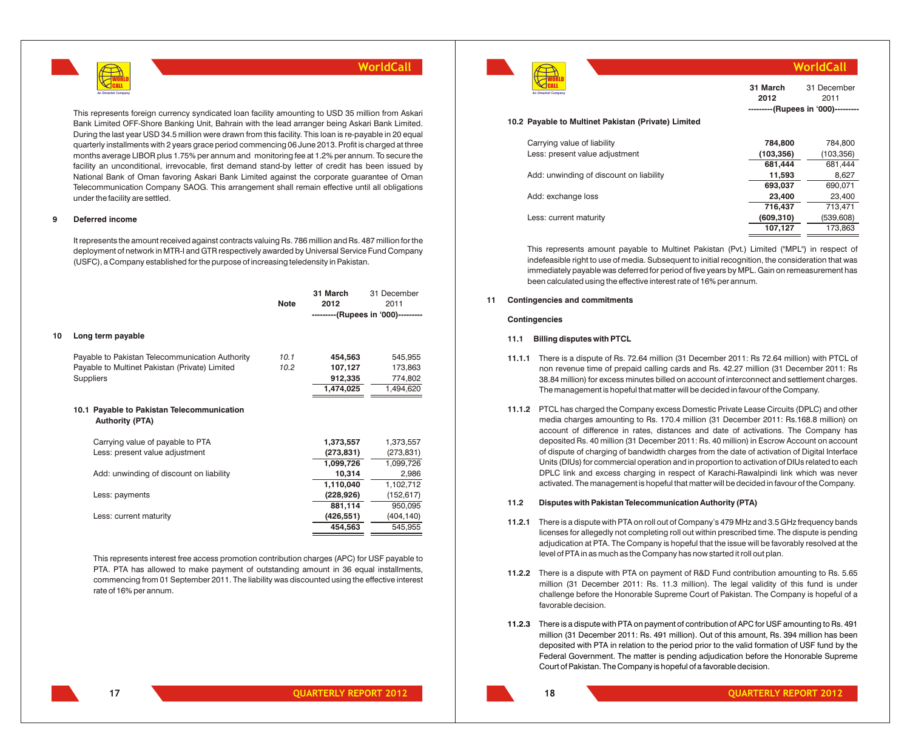

This represents foreign currency syndicated loan facility amounting to USD 35 million from Askari Bank Limited OFF-Shore Banking Unit, Bahrain with the lead arranger being Askari Bank Limited. During the last year USD 34.5 million were drawn from this facility. This loan is re-payable in 20 equal quarterly installments with 2 years grace period commencing 06 June 2013. Profit is charged at three months average LIBOR plus 1.75% per annum and monitoring fee at 1.2% per annum. To secure the facility an unconditional, irrevocable, first demand stand-by letter of credit has been issued by National Bank of Oman favoring Askari Bank Limited against the corporate guarantee of Oman Telecommunication Company SAOG. This arrangement shall remain effective until all obligations under the facility are settled.

## **9 Deferred income**

It represents the amount received against contracts valuing Rs. 786 million and Rs. 487 million for the deployment of network in MTR-I and GTR respectively awarded by Universal Service Fund Company (USFC), a Company established for the purpose of increasing teledensity in Pakistan.

|    |                                                                                                                       | <b>Note</b>  | 31 March<br>2012                           | 31 December<br>2011<br>---------(Rupees in '000)--------- |
|----|-----------------------------------------------------------------------------------------------------------------------|--------------|--------------------------------------------|-----------------------------------------------------------|
| 10 | Long term payable                                                                                                     |              |                                            |                                                           |
|    | Payable to Pakistan Telecommunication Authority<br>Payable to Multinet Pakistan (Private) Limited<br><b>Suppliers</b> | 10.1<br>10.2 | 454,563<br>107,127<br>912,335<br>1,474,025 | 545,955<br>173,863<br>774,802<br>1,494,620                |
|    | 10.1 Payable to Pakistan Telecommunication<br><b>Authority (PTA)</b>                                                  |              |                                            |                                                           |
|    | Carrying value of payable to PTA<br>Less: present value adjustment                                                    |              | 1,373,557<br>(273, 831)                    | 1,373,557<br>(273, 831)                                   |
|    | Add: unwinding of discount on liability                                                                               |              | 1,099,726<br>10,314<br>1,110,040           | 1,099,726<br>2,986<br>1,102,712                           |
|    | Less: payments                                                                                                        |              | (228, 926)                                 | (152, 617)<br>950,095                                     |
|    | Less: current maturity                                                                                                |              | 881,114<br>(426,551)<br>454,563            | (404, 140)<br>545,955                                     |
|    |                                                                                                                       |              |                                            |                                                           |

This represents interest free access promotion contribution charges (APC) for USF payable to PTA. PTA has allowed to make payment of outstanding amount in 36 equal installments, commencing from 01 September 2011. The liability was discounted using the effective interest rate of 16% per annum.



**WorldCall**

| 31 March | 31 December                        |
|----------|------------------------------------|
| 2012     | 2011                               |
|          | ---------(Rupees in '000)--------- |

#### **10.2 Payable to Multinet Pakistan (Private) Limited**

| Carrying value of liability             | 784.800    | 784,800    |
|-----------------------------------------|------------|------------|
| Less: present value adjustment          | (103, 356) | (103, 356) |
|                                         | 681,444    | 681,444    |
| Add: unwinding of discount on liability | 11,593     | 8,627      |
|                                         | 693.037    | 690,071    |
| Add: exchange loss                      | 23,400     | 23,400     |
|                                         | 716.437    | 713.471    |
| Less: current maturity                  | (609, 310) | (539, 608) |
|                                         | 107.127    | 173.863    |

This represents amount payable to Multinet Pakistan (Pvt.) Limited ("MPL") in respect of indefeasible right to use of media. Subsequent to initial recognition, the consideration that was immediately payable was deferred for period of five years by MPL. Gain on remeasurement has been calculated using the effective interest rate of 16% per annum.

### **11 Contingencies and commitments**

#### **Contingencies**

#### **11.1 Billing disputes with PTCL**

- **11.1.1** There is a dispute of Rs. 72.64 million (31 December 2011: Rs 72.64 million) with PTCL of non revenue time of prepaid calling cards and Rs. 42.27 million (31 December 2011: Rs 38.84 million) for excess minutes billed on account of interconnect and settlement charges. The management is hopeful that matter will be decided in favour of the Company.
- **11.1.2** PTCL has charged the Company excess Domestic Private Lease Circuits (DPLC) and other media charges amounting to Rs. 170.4 million (31 December 2011: Rs.168.8 million) on account of difference in rates, distances and date of activations. The Company has deposited Rs. 40 million (31 December 2011: Rs. 40 million) in Escrow Account on account of dispute of charging of bandwidth charges from the date of activation of Digital Interface Units (DIUs) for commercial operation and in proportion to activation of DIUs related to each DPLC link and excess charging in respect of Karachi-Rawalpindi link which was never activated. The management is hopeful that matter will be decided in favour of the Company.

#### **11.2 Disputes with Pakistan Telecommunication Authority (PTA)**

- **11.2.1** There is a dispute with PTA on roll out of Company's 479 MHz and 3.5 GHz frequency bands licenses for allegedly not completing roll out within prescribed time. The dispute is pending adjudication at PTA. The Company is hopeful that the issue will be favorably resolved at the level of PTA in as much as the Company has now started it roll out plan.
- **11.2.2** There is a dispute with PTA on payment of R&D Fund contribution amounting to Rs. 5.65 million (31 December 2011: Rs. 11.3 million). The legal validity of this fund is under challenge before the Honorable Supreme Court of Pakistan. The Company is hopeful of a favorable decision.
- **11.2.3** There is a dispute with PTA on payment of contribution of APC for USF amounting to Rs. 491 million (31 December 2011: Rs. 491 million). Out of this amount, Rs. 394 million has been deposited with PTA in relation to the period prior to the valid formation of USF fund by the Federal Government. The matter is pending adjudication before the Honorable Supreme Court of Pakistan. The Company is hopeful of a favorable decision.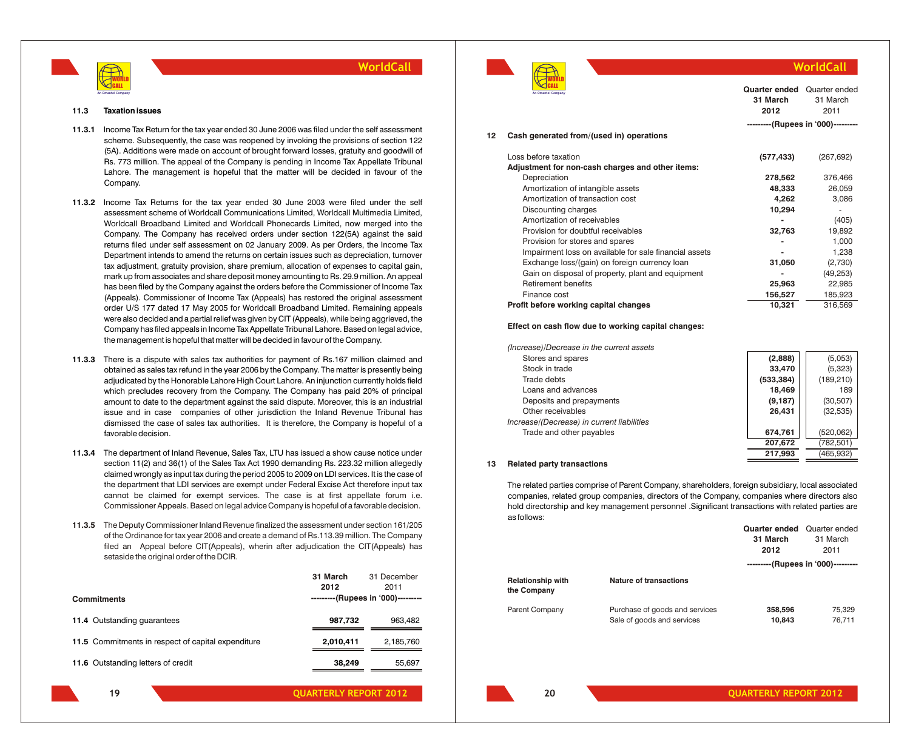

#### **11.3 Taxation issues**

- **11.3.1** Income Tax Return for the tax year ended 30 June 2006 was filed under the self assessment scheme. Subsequently, the case was reopened by invoking the provisions of section 122 (5A). Additions were made on account of brought forward losses, gratuity and goodwill of Rs. 773 million. The appeal of the Company is pending in Income Tax Appellate Tribunal Lahore. The management is hopeful that the matter will be decided in favour of the Company.
- **11.3.2** Income Tax Returns for the tax year ended 30 June 2003 were filed under the self assessment scheme of Worldcall Communications Limited, Worldcall Multimedia Limited, Worldcall Broadband Limited and Worldcall Phonecards Limited, now merged into the Company. The Company has received orders under section 122(5A) against the said returns filed under self assessment on 02 January 2009. As per Orders, the Income Tax Department intends to amend the returns on certain issues such as depreciation, turnover tax adjustment, gratuity provision, share premium, allocation of expenses to capital gain, mark up from associates and share deposit money amounting to Rs. 29.9 million. An appeal has been filed by the Company against the orders before the Commissioner of Income Tax (Appeals). Commissioner of Income Tax (Appeals) has restored the original assessment order U/S 177 dated 17 May 2005 for Worldcall Broadband Limited. Remaining appeals were also decided and a partial relief was given by CIT (Appeals), while being aggrieved, the Company has filed appeals in Income Tax Appellate Tribunal Lahore. Based on legal advice, the management is hopeful that matter will be decided in favour of the Company.
- **11.3.3** There is a dispute with sales tax authorities for payment of Rs.167 million claimed and obtained as sales tax refund in the year 2006 by the Company. The matter is presently being adjudicated by the Honorable Lahore High Court Lahore. An injunction currently holds field which precludes recovery from the Company. The Company has paid 20% of principal amount to date to the department against the said dispute. Moreover, this is an industrial issue and in case companies of other jurisdiction the Inland Revenue Tribunal has dismissed the case of sales tax authorities. It is therefore, the Company is hopeful of a favorable decision.
- **11.3.4** The department of Inland Revenue, Sales Tax, LTU has issued a show cause notice under section 11(2) and 36(1) of the Sales Tax Act 1990 demanding Rs. 223.32 million allegedly claimed wrongly as input tax during the period 2005 to 2009 on LDI services. It is the case of the department that LDI services are exempt under Federal Excise Act therefore input tax cannot be claimed for exempt services. The case is at first appellate forum i.e. Commissioner Appeals. Based on legal advice Company is hopeful of a favorable decision.
- **11.3.5** The Deputy Commissioner Inland Revenue finalized the assessment under section 161/205 of the Ordinance for tax year 2006 and create a demand of Rs.113.39 million. The Company filed an Appeal before CIT(Appeals), wherin after adjudication the CIT(Appeals) has setaside the original order of the DCIR.

|                                                    | 31 March<br>2012                   | 31 December<br>2011 |
|----------------------------------------------------|------------------------------------|---------------------|
| <b>Commitments</b>                                 | ---------(Rupees in '000)--------- |                     |
| 11.4 Outstanding quarantees                        | 987,732                            | 963.482             |
| 11.5 Commitments in respect of capital expenditure | 2,010,411                          | 2,185,760           |
| 11.6 Outstanding letters of credit                 | 38,249                             | 55,697              |



## **WorldCall**

|    | An Omantel Company                                     | Quarter ended<br>31 March<br>2012 | Quarter ended<br>31 March<br>2011  |
|----|--------------------------------------------------------|-----------------------------------|------------------------------------|
|    |                                                        |                                   | ---------(Rupees in '000)--------- |
| 12 | Cash generated from/(used in) operations               |                                   |                                    |
|    | Loss before taxation                                   | (577, 433)                        | (267, 692)                         |
|    | Adjustment for non-cash charges and other items:       |                                   |                                    |
|    | Depreciation                                           | 278,562                           | 376,466                            |
|    | Amortization of intangible assets                      | 48,333                            | 26,059                             |
|    | Amortization of transaction cost                       | 4,262                             | 3,086                              |
|    | Discounting charges                                    | 10,294                            |                                    |
|    | Amortization of receivables                            |                                   | (405)                              |
|    | Provision for doubtful receivables                     | 32,763                            | 19,892                             |
|    | Provision for stores and spares                        |                                   | 1,000                              |
|    | Impairment loss on available for sale financial assets |                                   | 1,238                              |
|    | Exchange loss/(gain) on foreign currency loan          | 31,050                            | (2,730)                            |
|    | Gain on disposal of property, plant and equipment      |                                   | (49, 253)                          |
|    | <b>Retirement benefits</b>                             | 25,963                            | 22,985                             |
|    | Finance cost                                           | 156,527                           | 185,923                            |
|    | Profit before working capital changes                  | 10,321                            | 316,569                            |

**Effect on cash flow due to working capital changes:**

| (Increase)/Decrease in the current assets  |            |            |
|--------------------------------------------|------------|------------|
| Stores and spares                          | (2,888)    | (5,053)    |
| Stock in trade                             | 33,470     | (5,323)    |
| Trade debts                                | (533, 384) | (189, 210) |
| Loans and advances                         | 18,469     | 189        |
| Deposits and prepayments                   | (9, 187)   | (30, 507)  |
| Other receivables                          | 26.431     | (32, 535)  |
| Increase/(Decrease) in current liabilities |            |            |
| Trade and other payables                   | 674,761    | (520, 062) |
|                                            | 207,672    | (782, 501) |
|                                            | 217.993    | (465, 932) |

#### **13 Related party transactions**

The related parties comprise of Parent Company, shareholders, foreign subsidiary, local associated companies, related group companies, directors of the Company, companies where directors also hold directorship and key management personnel .Significant transactions with related parties are as follows:

|                                         |                                                              | <b>Quarter ended</b><br>31 March<br>2012 | Quarter ended<br>31 March<br>2011  |
|-----------------------------------------|--------------------------------------------------------------|------------------------------------------|------------------------------------|
|                                         |                                                              |                                          | ---------(Rupees in '000)--------- |
| <b>Relationship with</b><br>the Company | <b>Nature of transactions</b>                                |                                          |                                    |
| Parent Company                          | Purchase of goods and services<br>Sale of goods and services | 358,596<br>10,843                        | 75,329<br>76.711                   |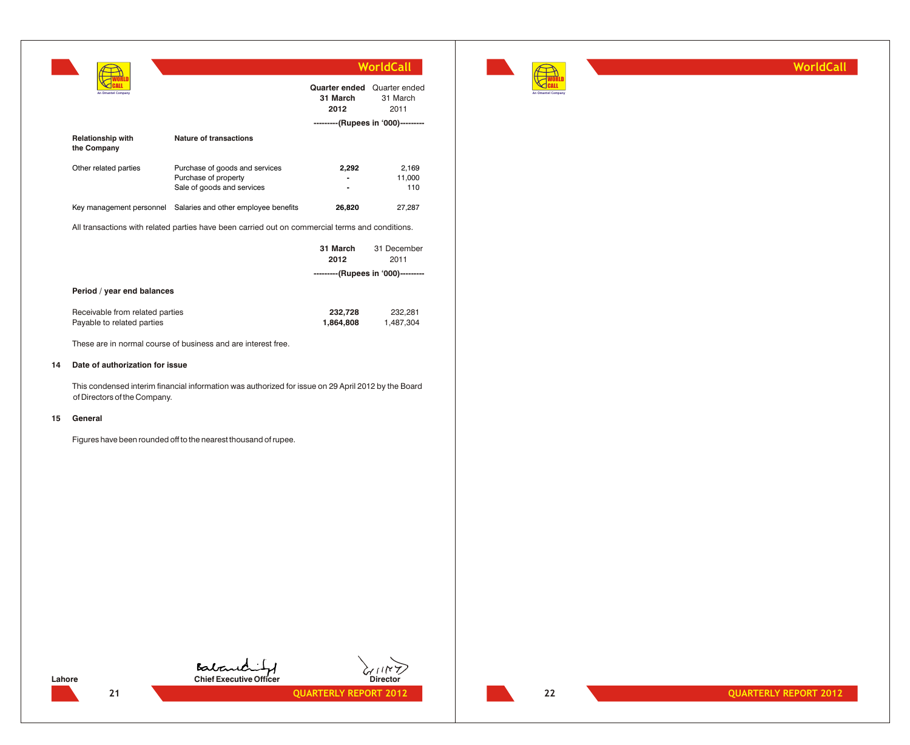|                                                               |                                                                                                 |                                                        | <b>WorldCall</b>                   |
|---------------------------------------------------------------|-------------------------------------------------------------------------------------------------|--------------------------------------------------------|------------------------------------|
|                                                               |                                                                                                 | <b>Quarter ended</b> Quarter ended<br>31 March<br>2012 | 31 March<br>2011                   |
|                                                               |                                                                                                 |                                                        | ---------(Rupees in '000)--------- |
| <b>Relationship with</b><br>the Company                       | Nature of transactions                                                                          |                                                        |                                    |
| Other related parties                                         | Purchase of goods and services<br>Purchase of property<br>Sale of goods and services            | 2,292                                                  | 2,169<br>11,000<br>110             |
|                                                               | Key management personnel Salaries and other employee benefits                                   | 26,820                                                 | 27,287                             |
|                                                               | All transactions with related parties have been carried out on commercial terms and conditions. |                                                        |                                    |
|                                                               |                                                                                                 | 31 March<br>2012                                       | 31 December<br>2011                |
|                                                               |                                                                                                 |                                                        | ---------(Rupees in '000)--------- |
| Period / year end balances                                    |                                                                                                 |                                                        |                                    |
| Receivable from related parties<br>Payable to related parties |                                                                                                 | 232,728<br>1,864,808                                   | 232,281<br>1,487,304               |
|                                                               | These are in normal course of business and are interest free.                                   |                                                        |                                    |

## **14 Date of authorization for issue**

This condensed interim financial information was authorized for issue on 29 April 2012 by the Board of Directors of the Company.

## **15 General**

Figures have been rounded off to the nearest thousand of rupee.



Lahore **Chief Executive Officer** Director

**21 QUARTERLY REPORT 2012** 

WORLD CALL **An Omantel Company** **WorldCall**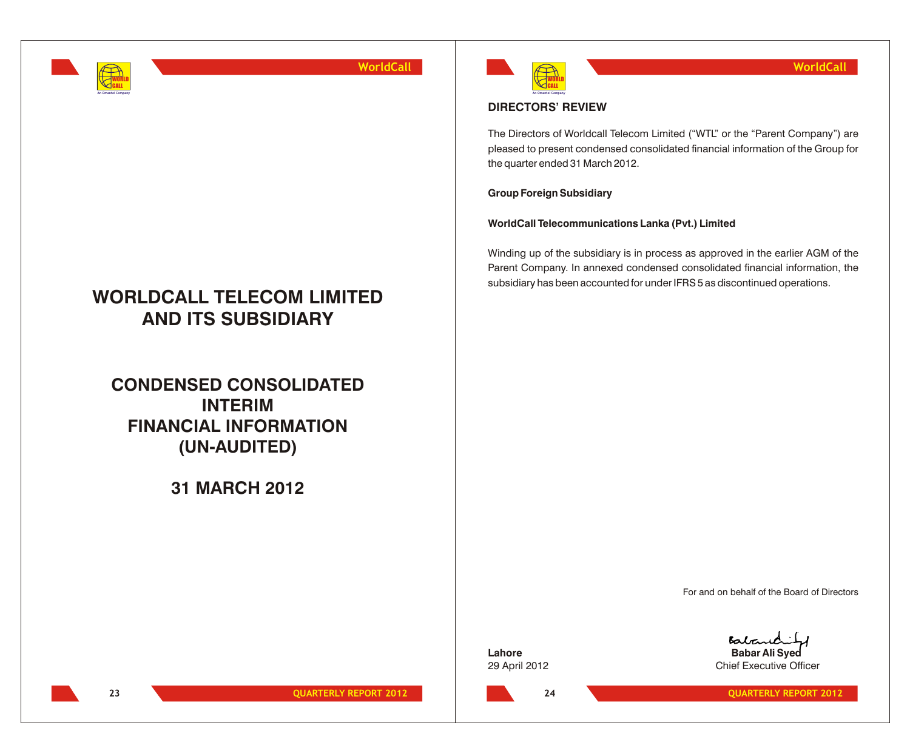

# **WORLDCALL TELECOM LIMITED AND ITS SUBSIDIARY**

**CONDENSED CONSOLIDATED INTERIM FINANCIAL INFORMATION (UN-AUDITED)**

**31 MARCH 2012**



## **DIRECTORS' REVIEW**

The Directors of Worldcall Telecom Limited ("WTL" or the "Parent Company") are pleased to present condensed consolidated financial information of the Group for the quarter ended 31 March 2012.

**Group Foreign Subsidiary**

**WorldCall Telecommunications Lanka (Pvt.) Limited**

Winding up of the subsidiary is in process as approved in the earlier AGM of the Parent Company. In annexed condensed consolidated financial information, the subsidiary has been accounted for under IFRS 5 as discontinued operations.

For and on behalf of the Board of Directors

**Lahore Babar Ali Syed** 29 April 2012 **Chief Executive Officer** 

**23 QUARTERLY REPORT 2012**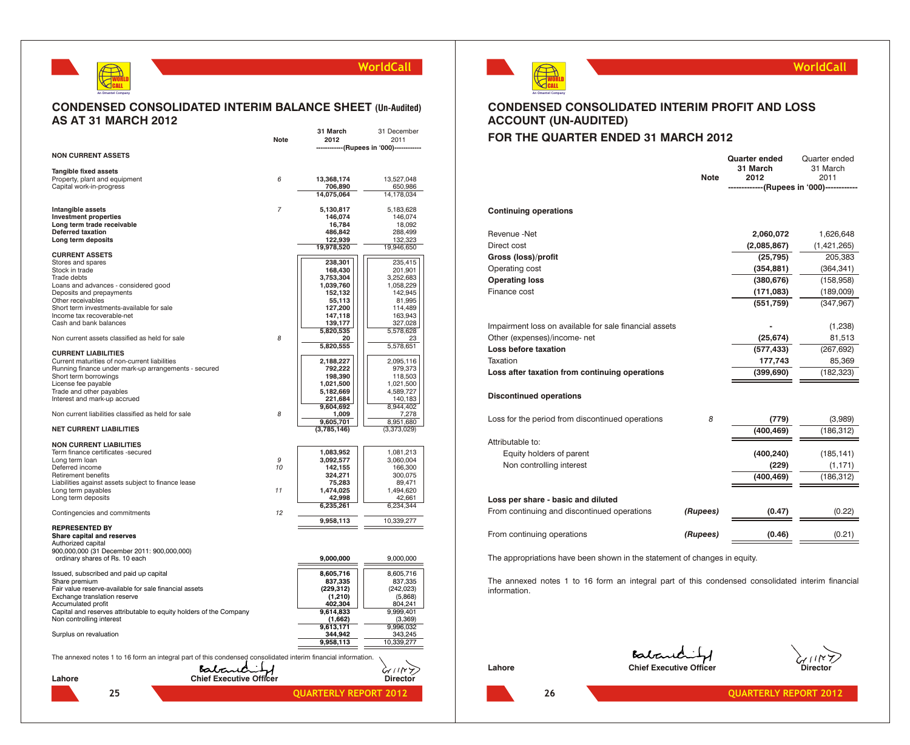## WORLD CALL **An Omantel Company**

## **WorldCall**

## **CONDENSED CONSOLIDATED INTERIM BALANCE SHEET (Un-Audited) AS AT 31 MARCH 2012**

|                                                                                                               |                                | 31 March                 | 31 December                            |
|---------------------------------------------------------------------------------------------------------------|--------------------------------|--------------------------|----------------------------------------|
|                                                                                                               | Note                           | 2012                     | 2011<br>--------(Rupees in '000)------ |
| <b>NON CURRENT ASSETS</b>                                                                                     |                                |                          |                                        |
|                                                                                                               |                                |                          |                                        |
| Tangible fixed assets                                                                                         |                                |                          |                                        |
| Property, plant and equipment<br>Capital work-in-progress                                                     | 6                              | 13,368,174<br>706,890    | 13,527,048<br>650,986                  |
|                                                                                                               |                                | 14,075,064               | 14,178,034                             |
|                                                                                                               |                                |                          |                                        |
| <b>Intangible assets</b>                                                                                      | $\overline{7}$                 | 5,130,817                | 5,183,628                              |
| <b>Investment properties</b>                                                                                  |                                | 146,074                  | 146,074                                |
| Long term trade receivable<br><b>Deferred taxation</b>                                                        |                                | 16,784<br>486,842        | 18,092<br>288,499                      |
| Long term deposits                                                                                            |                                | 122,939                  | 132,323                                |
|                                                                                                               |                                | 19,978,520               | 19,946,650                             |
| <b>CURRENT ASSETS</b>                                                                                         |                                |                          |                                        |
| Stores and spares                                                                                             |                                | 238,301                  | 235,415                                |
| Stock in trade<br>Trade debts                                                                                 |                                | 168,430<br>3,753,304     | 201,901<br>3,252,683                   |
| Loans and advances - considered good                                                                          |                                | 1,039,760                | 1,058,229                              |
| Deposits and prepayments                                                                                      |                                | 152,132                  | 142,945                                |
| Other receivables                                                                                             |                                | 55,113                   | 81,995                                 |
| Short term investments-available for sale                                                                     |                                | 127,200                  | 114,489                                |
| Income tax recoverable-net                                                                                    |                                | 147,118                  | 163,943                                |
| Cash and bank balances                                                                                        |                                | 139,177<br>5,820,535     | 327,028<br>5,578,628                   |
| Non current assets classified as held for sale                                                                | 8                              | 20                       | 23                                     |
|                                                                                                               |                                | 5,820,555                | 5,578,651                              |
| <b>CURRENT LIABILITIES</b>                                                                                    |                                |                          |                                        |
| Current maturities of non-current liabilities                                                                 |                                | 2,188,227                | 2,095,116                              |
| Running finance under mark-up arrangements - secured<br>Short term borrowings                                 |                                | 792,222<br>198,390       | 979,373<br>118,503                     |
| License fee payable                                                                                           |                                | 1,021,500                | 1,021,500                              |
| Trade and other payables                                                                                      |                                | 5,182,669                | 4,589,727                              |
| Interest and mark-up accrued                                                                                  |                                | 221,684                  | 140,183                                |
|                                                                                                               |                                | 9,604,692                | 8,944,402                              |
| Non current liabilities classified as held for sale                                                           | 8                              | 1,009                    | 7,278                                  |
| <b>NET CURRENT LIABILITIES</b>                                                                                |                                | 9,605,701<br>(3,785,146) | 8,951,680<br>(3,373,029)               |
|                                                                                                               |                                |                          |                                        |
| <b>NON CURRENT LIABILITIES</b>                                                                                |                                |                          |                                        |
| Term finance certificates -secured                                                                            |                                | 1,083,952                | 1,081,213                              |
| Long term loan<br>Deferred income                                                                             | 9<br>10                        | 3,092,577<br>142,155     | 3,060,004<br>166,300                   |
| <b>Retirement benefits</b>                                                                                    |                                | 324,271                  | 300,075                                |
| Liabilities against assets subject to finance lease                                                           |                                | 75,283                   | 89.471                                 |
| Long term payables                                                                                            | 11                             | 1,474,025                | 1,494,620                              |
| Long term deposits                                                                                            |                                | 42,998                   | 42,661                                 |
| Contingencies and commitments                                                                                 | 12                             | 6,235,261                | 6,234,344                              |
|                                                                                                               |                                | 9,958,113                | 10,339,277                             |
| <b>REPRESENTED BY</b>                                                                                         |                                |                          |                                        |
| Share capital and reserves                                                                                    |                                |                          |                                        |
| Authorized capital                                                                                            |                                |                          |                                        |
| 900,000,000 (31 December 2011: 900,000,000)                                                                   |                                | 9,000,000                | 9,000,000                              |
| ordinary shares of Rs. 10 each                                                                                |                                |                          |                                        |
| Issued, subscribed and paid up capital                                                                        |                                | 8,605,716                | 8,605,716                              |
| Share premium                                                                                                 |                                | 837,335                  | 837,335                                |
| Fair value reserve-available for sale financial assets                                                        |                                | (229, 312)               | (242, 023)                             |
| Exchange translation reserve<br>Accumulated profit                                                            |                                | (1, 210)<br>402,304      | (5,868)<br>804,241                     |
| Capital and reserves attributable to equity holders of the Company                                            |                                | 9,614,833                | 9,999,401                              |
| Non controlling interest                                                                                      |                                | (1,662)                  | (3,369)                                |
|                                                                                                               |                                | 9,613,171                | 9,996,032                              |
| Surplus on revaluation                                                                                        |                                | 344,942                  | 343,245                                |
|                                                                                                               |                                | 9,958,113                | 10,339,277                             |
| The annexed notes 1 to 16 form an integral part of this condensed consolidated interim financial information. |                                |                          |                                        |
|                                                                                                               |                                |                          |                                        |
| Bata                                                                                                          |                                |                          | $\epsilon$ ( ) $\kappa$                |
| Lahore                                                                                                        | <b>Chief Executive Officer</b> |                          | Director                               |
| 25                                                                                                            |                                | QUARTERLY REPORT 2012    |                                        |
|                                                                                                               |                                |                          |                                        |



## **WorldCall**

## **CONDENSED CONSOLIDATED INTERIM PROFIT AND LOSS ACCOUNT (UN-AUDITED)**

## **FOR THE QUARTER ENDED 31 MARCH 2012**

|                                                                          | <b>Note</b> | <b>Quarter ended</b><br>31 March<br>2012 | Quarter ended<br>31 March<br>2011<br>----------(Rupees in '000)------------ |
|--------------------------------------------------------------------------|-------------|------------------------------------------|-----------------------------------------------------------------------------|
| <b>Continuing operations</b>                                             |             |                                          |                                                                             |
| Revenue -Net                                                             |             | 2,060,072                                | 1,626,648                                                                   |
| Direct cost                                                              |             | (2,085,867)                              | (1,421,265)                                                                 |
| Gross (loss)/profit                                                      |             | (25, 795)                                | 205,383                                                                     |
| Operating cost                                                           |             | (354, 881)                               | (364, 341)                                                                  |
| <b>Operating loss</b>                                                    |             | (380, 676)                               | (158, 958)                                                                  |
| Finance cost                                                             |             | (171, 083)                               | (189,009)                                                                   |
|                                                                          |             | (551, 759)                               | (347, 967)                                                                  |
| Impairment loss on available for sale financial assets                   |             |                                          | (1, 238)                                                                    |
| Other (expenses)/income- net                                             |             | (25, 674)                                | 81,513                                                                      |
| Loss before taxation                                                     |             | (577, 433)                               | (267, 692)                                                                  |
| Taxation                                                                 |             | 177,743                                  | 85,369                                                                      |
| Loss after taxation from continuing operations                           |             | (399, 690)                               | (182, 323)                                                                  |
| <b>Discontinued operations</b>                                           |             |                                          |                                                                             |
| Loss for the period from discontinued operations                         | 8           | (779)                                    | (3,989)                                                                     |
|                                                                          |             | (400, 469)                               | (186, 312)                                                                  |
| Attributable to:                                                         |             |                                          |                                                                             |
| Equity holders of parent                                                 |             | (400, 240)                               | (185, 141)                                                                  |
| Non controlling interest                                                 |             | (229)                                    | (1, 171)                                                                    |
|                                                                          |             | (400, 469)                               | (186, 312)                                                                  |
| Loss per share - basic and diluted                                       |             |                                          |                                                                             |
| From continuing and discontinued operations                              | (Rupees)    | (0.47)                                   | (0.22)                                                                      |
| From continuing operations                                               | (Rupees)    | (0.46)                                   | (0.21)                                                                      |
| The annropriations have been shown in the statement of changes in equity |             |                                          |                                                                             |

The appropriations have been shown in the statement of changes in equity.

The annexed notes 1 to 16 form an integral part of this condensed consolidated interim financial information.

Lahore **Chief Executive Officer** Chief Executive Officer

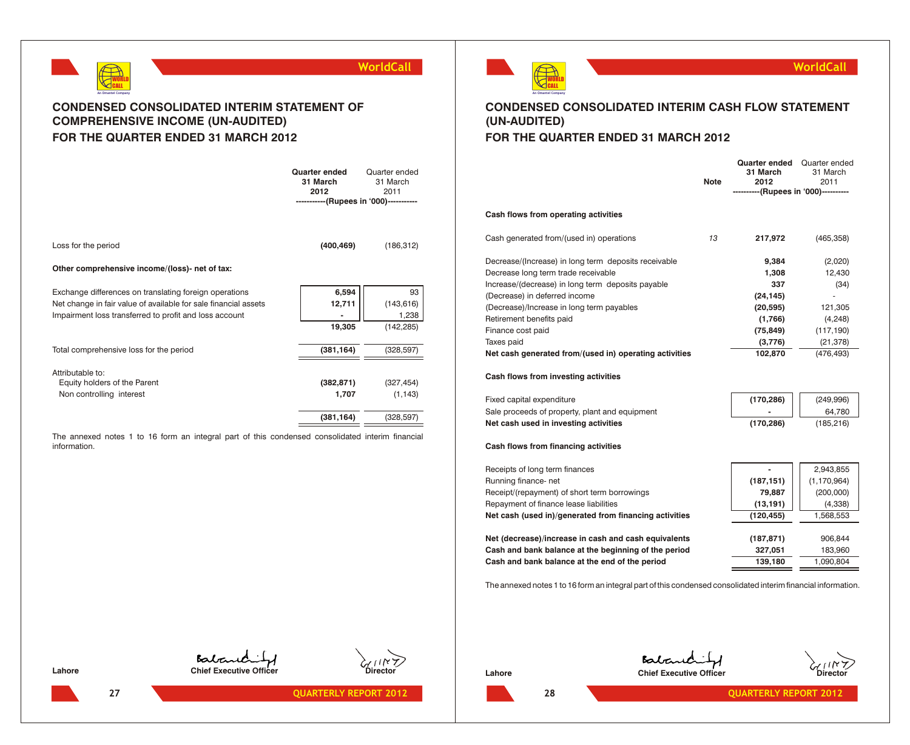



## **CONDENSED CONSOLIDATED INTERIM STATEMENT OF COMPREHENSIVE INCOME (UN-AUDITED) FOR THE QUARTER ENDED 31 MARCH 2012**

|                                                                 | <b>Quarter ended</b><br>31 March<br>2012 | Quarter ended<br>31 March<br>2011 |
|-----------------------------------------------------------------|------------------------------------------|-----------------------------------|
|                                                                 | -----------(Rupees in '000)-----------   |                                   |
|                                                                 |                                          |                                   |
| Loss for the period                                             | (400, 469)                               | (186, 312)                        |
| Other comprehensive income/(loss)- net of tax:                  |                                          |                                   |
| Exchange differences on translating foreign operations          | 6,594                                    | 93                                |
| Net change in fair value of available for sale financial assets | 12,711                                   | (143, 616)                        |
| Impairment loss transferred to profit and loss account          |                                          | 1,238                             |
|                                                                 | 19,305                                   | (142, 285)                        |
| Total comprehensive loss for the period                         | (381, 164)                               | (328, 597)                        |
| Attributable to:                                                |                                          |                                   |
| Equity holders of the Parent                                    | (382, 871)                               | (327, 454)                        |
| Non controlling interest                                        | 1,707                                    | (1, 143)                          |
|                                                                 | (381, 164)                               | (328, 597)                        |

The annexed notes 1 to 16 form an integral part of this condensed consolidated interim financial information.



## **WorldCall**

## **CONDENSED CONSOLIDATED INTERIM CASH FLOW STATEMENT (UN-AUDITED)**

## **FOR THE QUARTER ENDED 31 MARCH 2012**

|                                                                                                                                                                                                                                                                                                                                                         | <b>Note</b> | <b>Quarter ended</b><br>31 March<br>2012<br>----------(Rupees in '000)-----------             | Quarter ended<br>31 March<br>2011                                                         |
|---------------------------------------------------------------------------------------------------------------------------------------------------------------------------------------------------------------------------------------------------------------------------------------------------------------------------------------------------------|-------------|-----------------------------------------------------------------------------------------------|-------------------------------------------------------------------------------------------|
| Cash flows from operating activities                                                                                                                                                                                                                                                                                                                    |             |                                                                                               |                                                                                           |
| Cash generated from/(used in) operations                                                                                                                                                                                                                                                                                                                | 13          | 217,972                                                                                       | (465, 358)                                                                                |
| Decrease/(Increase) in long term deposits receivable<br>Decrease long term trade receivable<br>Increase/(decrease) in long term deposits payable<br>(Decrease) in deferred income<br>(Decrease)/Increase in long term payables<br>Retirement benefits paid<br>Finance cost paid<br>Taxes paid<br>Net cash generated from/(used in) operating activities |             | 9,384<br>1,308<br>337<br>(24, 145)<br>(20, 595)<br>(1,766)<br>(75, 849)<br>(3,776)<br>102,870 | (2,020)<br>12,430<br>(34)<br>121,305<br>(4, 248)<br>(117, 190)<br>(21, 378)<br>(476, 493) |
| Cash flows from investing activities                                                                                                                                                                                                                                                                                                                    |             |                                                                                               |                                                                                           |
| Fixed capital expenditure<br>Sale proceeds of property, plant and equipment<br>Net cash used in investing activities                                                                                                                                                                                                                                    |             | (170, 286)<br>(170, 286)                                                                      | (249,996)<br>64,780<br>(185, 216)                                                         |
| Cash flows from financing activities                                                                                                                                                                                                                                                                                                                    |             |                                                                                               |                                                                                           |
| Receipts of long term finances<br>Running finance-net<br>Receipt/(repayment) of short term borrowings<br>Repayment of finance lease liabilities                                                                                                                                                                                                         |             | (187, 151)<br>79,887<br>(13, 191)                                                             | 2,943,855<br>(1, 170, 964)<br>(200,000)<br>(4,338)                                        |
| Net cash (used in)/generated from financing activities                                                                                                                                                                                                                                                                                                  |             | (120, 455)                                                                                    | 1,568,553                                                                                 |

**Net (decrease)/increase in cash and cash equivalents Cash and bank balance at the beginning of the period 327,051** 183,960 **Cash and bank balance at the end of the period** 

|            | $-10.10100$   |
|------------|---------------|
| (187, 151) | (1, 170, 964) |
| 79,887     | (200,000)     |
| (13, 191)  | (4,338)       |
| (120, 455) | 1,568,553     |
|            |               |
| (187, 871) | 906,844       |
| 327,051    | 183,960       |
| 139,180    | 1,090,804     |
|            |               |

The annexed notes 1 to 16 form an integral part of this condensed consolidated interim financial information.

Baband **Lahore Chief Executive Officer Chief Executive Officer** 

Balanchity **Lahore Chief Executive Officer Chief Executive Officer** 



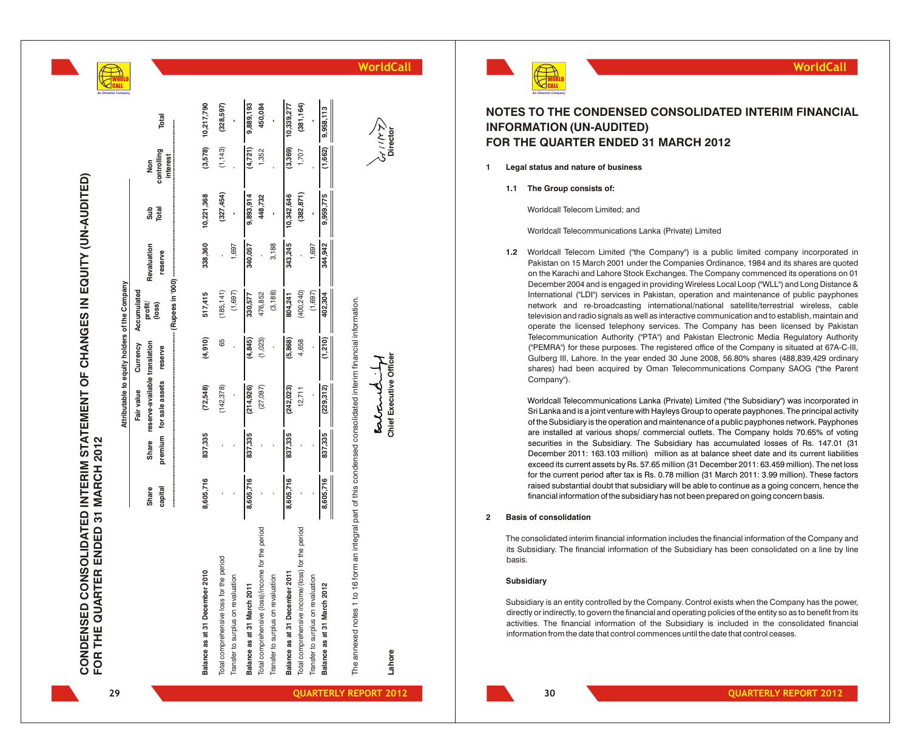| CONDENSED CONSOLIDATED INTERIM STATEMENT OF CHANGES IN EQUITY (UN-AUDITED) |                                     |
|----------------------------------------------------------------------------|-------------------------------------|
|                                                                            |                                     |
|                                                                            |                                     |
|                                                                            |                                     |
|                                                                            |                                     |
|                                                                            |                                     |
|                                                                            |                                     |
|                                                                            | FOR THE QUARTER ENDED 31 MARCH 2012 |
|                                                                            |                                     |
|                                                                            |                                     |
|                                                                            |                                     |
|                                                                            |                                     |
|                                                                            |                                     |
|                                                                            |                                     |

|                                                                                                                  |                  |              | Attributable to equity holders of the Company            |          |                          |                        |              |                    |                        |
|------------------------------------------------------------------------------------------------------------------|------------------|--------------|----------------------------------------------------------|----------|--------------------------|------------------------|--------------|--------------------|------------------------|
|                                                                                                                  |                  |              | Fair value                                               | Currency | Accumulated              |                        |              |                    |                        |
|                                                                                                                  | Share<br>capital | <b>Share</b> | reserve-available translation<br>premium for sale assets | reserve  | profit/<br>(loss)        | Revaluation<br>reserve | Sub<br>Total | controlling<br>Non | Total                  |
|                                                                                                                  |                  |              |                                                          |          | --- (Rupees in '000) --- |                        |              | interest           |                        |
| ber 2010<br>Balance as at 31 Decem                                                                               | 8,605,716        | 837,335      | (72,548)                                                 | (4,910)  | 517,415                  | 338,360                | 10,221,368   |                    | $(3,578)$ $10,217,790$ |
| for the period<br>Total comprehensive loss                                                                       |                  |              | (142, 378)                                               | 65       | (185, 141)               |                        | (327, 454)   | (1, 143)           | (328, 597)             |
| Transfer to surplus on revaluation                                                                               |                  |              |                                                          |          | (1,697)                  | 1,697                  |              |                    |                        |
| Balance as at 31 March 2011                                                                                      | 8,605,716        | 837,335      | (214, 926)                                               | (4, 845) | 330,577                  | 340,057                | 9,893,914    | (4,721)            | 9,889,193              |
| Total comprehensive (loss)/income for the period                                                                 |                  |              | (27, 097)                                                | (1,023)  | 476,852                  |                        | 448,732      | 1,352              | 450,084                |
| Transfer to surplus on revaluation                                                                               |                  |              |                                                          |          | (3, 188)                 | 3,188                  |              |                    |                        |
| Balance as at 31 December 2011                                                                                   | 8,605,716        | 837,335      | (242, 023)                                               | (5,868)  | 804,241                  | 343,245                | 10,342,646   | (3,369)            | 10,339,277             |
| Total comprehensive income/(loss) for the period                                                                 |                  |              | 12,711                                                   | 4,658    | (400, 240)               |                        | (382, 871)   | 1,707              | (381, 164)             |
| Transfer to surplus on revaluation                                                                               |                  |              |                                                          |          | (1,697)                  | 1,697                  |              |                    |                        |
| Balance as at 31 March 2012                                                                                      | 8,605,716        | 837,335      | (229, 312)                                               | (1,210)  | 402,304                  | 344,942                | 9,959,775    | (1,662)            | 9,958,113              |
| to 16 form an integral part of this condensed consolidated interim financial information.<br>The annexed notes 1 |                  |              |                                                          |          |                          |                        |              |                    |                        |
|                                                                                                                  |                  |              | <b>kalcini</b>                                           |          |                          |                        |              |                    | ダニスル                   |
| Lahore                                                                                                           |                  |              | Chief Executive Officer                                  |          |                          |                        |              |                    | Director               |

## **NOTES TO THE CONDENSED CONSOLIDATED INTERIM FINANCIAL INFORMATION (UN-AUDITED) FOR THE QUARTER ENDED 31 MARCH 2012**

- **1 Legal status and nature of business**
	- **1.1 The Group consists of:**

Worldcall Telecom Limited; and

Worldcall Telecommunications Lanka (Private) Limited

1.2 Worldcall Telecom Limited ("the Company") is a public limited company incorporated in Pakistan on 15 March 2001 under the Companies Ordinance, 1984 and its shares are quoted on the Karachi and Lahore Stock Exchanges. The Company commenced its operations on 01 December 2004 and is engaged in providing Wireless Local Loop ("WLL") and Long Distance & International ("LDI") services in Pakistan, operation and maintenance of public payphones network and re-broadcasting international/national satellite/terrestrial wireless, cable television and radio signals as well as interactive communication and to establish, maintain and operate the licensed telephony services. The Company has been licensed by Pakistan Telecommunication Authority ("PTA") and Pakistan Electronic Media Regulatory Authority ("PEMRA") for these purposes. The registered office of the Company is situated at 67A-C-III, Gulberg III, Lahore. In the year ended 30 June 2008, 56.80% shares (488,839,429 ordinary shares) had been acquired by Oman Telecommunications Company SAOG ("the Parent Company"). **Figure 12 Internation of the subsidiary and the subsidiary with the subsidiary internal information of the subsidiary has not been prepared to the subsidiary the subsidiary of the subsidiary of the subsidiary of the subsi** 

Worldcall Telecommunications Lanka (Private) Limited ("the Subsidiary") was incorporated in Srl Lanka and is a joint venture with Hayleys Group to operate payphones. The principal activity the preaching and maintenance of Sri Lanka and is a joint venture with Hayleys Group to operate payphones. The principal activity of the Subsidiary is the operation and maintenance of a public payphones network. Payphones are installed at various shops/ commercial outlets. The Company holds 70.65% of voting securities in the Subsidiary. The Subsidiary has accumulated losses of Rs. 147.01 (31 December 2011: 163.103 million) million as at balance sheet date and its current liabilities exceed its current assets by Rs. 57.65 million (31 December 2011: 63.459 million). The net loss for the current period after tax is Rs. 0.78 million (31 March 2011: 3.99 million). These factors raised substantial doubt that subsidiary will be able to continue as a going concern, hence the

## **2 Basis of consolidation**

The consolidated interim financial information includes the financial information of the Company and its Subsidiary. The financial information of the Subsidiary has been consolidated on a line by line basis.

### **Subsidiary**

Subsidiary is an entity controlled by the Company. Control exists when the Company has the power, directly or indirectly, to govern the financial and operating policies of the entity so as to benefit from its activities. The financial information of the Subsidiary is included in the consolidated financial<br>information from the date that control commences until the date that control ceases

**20 <b>QUARTERLY REPORT 2012** 



 $\hat{z}$ 

D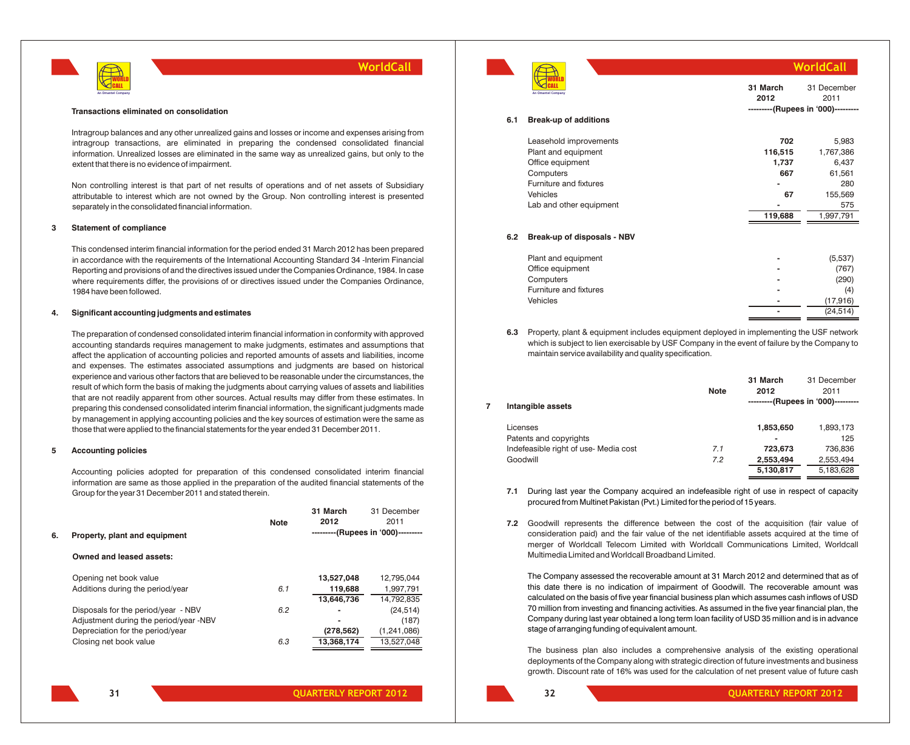

#### **Transactions eliminated on consolidation**

Intragroup balances and any other unrealized gains and losses or income and expenses arising from intragroup transactions, are eliminated in preparing the condensed consolidated financial information. Unrealized losses are eliminated in the same way as unrealized gains, but only to the extent that there is no evidence of impairment.

Non controlling interest is that part of net results of operations and of net assets of Subsidiary attributable to interest which are not owned by the Group. Non controlling interest is presented separately in the consolidated financial information.

#### **3 Statement of compliance**

This condensed interim financial information for the period ended 31 March 2012 has been prepared in accordance with the requirements of the International Accounting Standard 34 -Interim Financial Reporting and provisions of and the directives issued under the Companies Ordinance, 1984. In case where requirements differ, the provisions of or directives issued under the Companies Ordinance, 1984 have been followed.

#### **4. Significant accounting judgments and estimates**

The preparation of condensed consolidated interim financial information in conformity with approved accounting standards requires management to make judgments, estimates and assumptions that affect the application of accounting policies and reported amounts of assets and liabilities, income and expenses. The estimates associated assumptions and judgments are based on historical experience and various other factors that are believed to be reasonable under the circumstances, the result of which form the basis of making the judgments about carrying values of assets and liabilities that are not readily apparent from other sources. Actual results may differ from these estimates. In preparing this condensed consolidated interim financial information, the significant judgments made by management in applying accounting policies and the key sources of estimation were the same as those that were applied to the financial statements for the year ended 31 December 2011.

#### **5 Accounting policies**

Accounting policies adopted for preparation of this condensed consolidated interim financial information are same as those applied in the preparation of the audited financial statements of the Group for the year 31 December 2011 and stated therein.

|    |                                        | <b>Note</b> | 31 March<br>2012 | 31 December<br>2011                |
|----|----------------------------------------|-------------|------------------|------------------------------------|
| 6. | Property, plant and equipment          |             |                  | ---------(Rupees in '000)--------- |
|    | Owned and leased assets:               |             |                  |                                    |
|    | Opening net book value                 |             | 13,527,048       | 12.795.044                         |
|    | Additions during the period/year       | 6.1         | 119,688          | 1,997,791                          |
|    |                                        |             | 13,646,736       | 14,792,835                         |
|    | Disposals for the period/year - NBV    | 6.2         |                  | (24, 514)                          |
|    | Adjustment during the period/year -NBV |             |                  | (187)                              |
|    | Depreciation for the period/year       |             | (278, 562)       | (1,241,086)                        |
|    | Closing net book value                 | 6.3         | 13,368,174       | 13.527.048                         |
|    |                                        |             |                  |                                    |



**6.1 Break-up of additions**

| WorldCall |  |  |
|-----------|--|--|
|           |  |  |

| An Omantel Company           | 31 March<br>2012 | 31 December<br>2011                |
|------------------------------|------------------|------------------------------------|
|                              |                  | ---------(Rupees in '000)--------- |
| <b>Break-up of additions</b> |                  |                                    |
| Leasehold improvements       | 702              | 5,983                              |
| Plant and equipment          | 116,515          | 1,767,386                          |
| Office equipment             | 1,737            | 6,437                              |
| Computers                    | 667              | 61,561                             |
| Furniture and fixtures       | -                | 280                                |
| Vehicles                     | 67               | 155,569                            |
| Lab and other equipment      |                  | 575                                |
|                              | 119,688          | 1,997,791                          |

## **6.2 Break-up of disposals - NBV**

| Plant and equipment    | -              | (5,537)   |
|------------------------|----------------|-----------|
| Office equipment       |                | (767)     |
| Computers              | $\blacksquare$ | (290)     |
| Furniture and fixtures | -              | (4)       |
| <b>Vehicles</b>        | -              | (17,916)  |
|                        | -              | (24, 514) |

**6.3** Property, plant & equipment includes equipment deployed in implementing the USF network which is subject to lien exercisable by USF Company in the event of failure by the Company to maintain service availability and quality specification.

|                                       | <b>Note</b> | 31 March<br>2012 | 31 December<br>2011                |
|---------------------------------------|-------------|------------------|------------------------------------|
| Intangible assets                     |             |                  | ---------(Rupees in '000)--------- |
| Licenses                              |             | 1,853,650        | 1,893,173                          |
| Patents and copyrights                |             |                  | 125                                |
| Indefeasible right of use- Media cost | 7.1         | 723,673          | 736,836                            |
| Goodwill                              | 7.2         | 2,553,494        | 2,553,494                          |
|                                       |             | 5,130,817        | 5,183,628                          |
|                                       |             |                  |                                    |

- **7.1** During last year the Company acquired an indefeasible right of use in respect of capacity procured from Multinet Pakistan (Pvt.) Limited for the period of 15 years.
- **7.2** Goodwill represents the difference between the cost of the acquisition (fair value of consideration paid) and the fair value of the net identifiable assets acquired at the time of merger of Worldcall Telecom Limited with Worldcall Communications Limited, Worldcall Multimedia Limited and Worldcall Broadband Limited.

The Company assessed the recoverable amount at 31 March 2012 and determined that as of this date there is no indication of impairment of Goodwill. The recoverable amount was calculated on the basis of five year financial business plan which assumes cash inflows of USD 70 million from investing and financing activities. As assumed in the five year financial plan, the Company during last year obtained a long term loan facility of USD 35 million and is in advance stage of arranging funding of equivalent amount.

The business plan also includes a comprehensive analysis of the existing operational deployments of the Company along with strategic direction of future investments and business growth. Discount rate of 16% was used for the calculation of net present value of future cash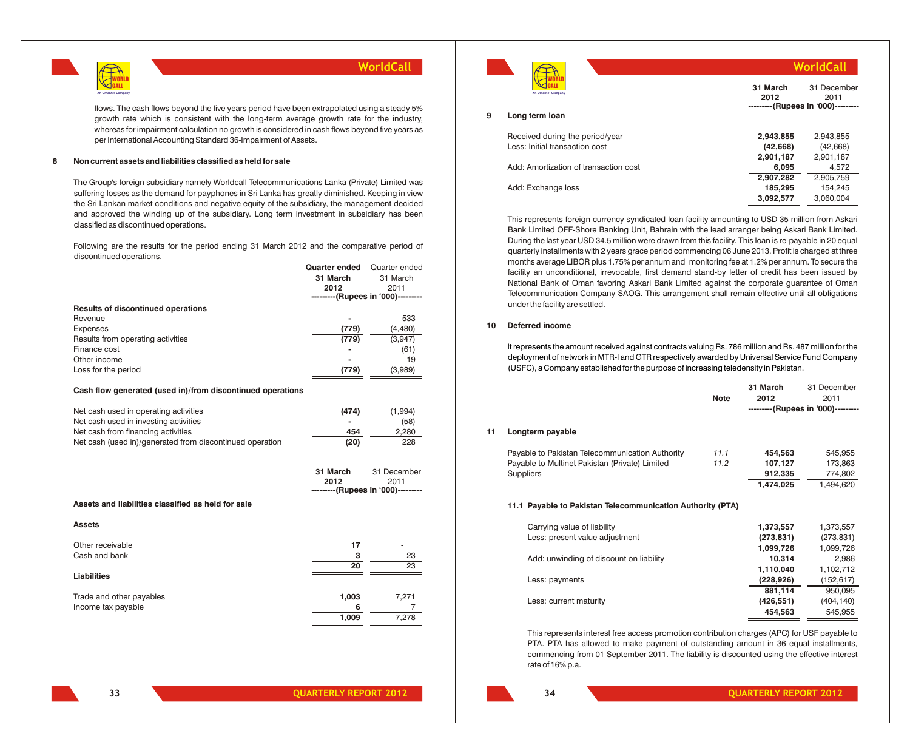

**Quarter ended** Quarter ended

flows. The cash flows beyond the five years period have been extrapolated using a steady 5% growth rate which is consistent with the long-term average growth rate for the industry, whereas for impairment calculation no growth is considered in cash flows beyond five years as per International Accounting Standard 36-Impairment of Assets.

### **8 Non current assets and liabilities classified as held for sale**

The Group's foreign subsidiary namely Worldcall Telecommunications Lanka (Private) Limited was suffering losses as the demand for payphones in Sri Lanka has greatly diminished. Keeping in view the Sri Lankan market conditions and negative equity of the subsidiary, the management decided and approved the winding up of the subsidiary. Long term investment in subsidiary has been classified as discontinued operations.

Following are the results for the period ending 31 March 2012 and the comparative period of discontinued operations.

|                                    | Quarter ended  | Quarter ended                      |
|------------------------------------|----------------|------------------------------------|
|                                    | 31 March       | 31 March                           |
|                                    | 2012           | 2011                               |
|                                    |                | ---------(Rupees in '000)--------- |
| Results of discontinued operations |                |                                    |
| Revenue                            | $\blacksquare$ | 533                                |
| Expenses                           | (779)          | (4, 480)                           |
| Results from operating activities  | (779)          | (3,947)                            |
| Finance cost                       |                | (61)                               |
| Other income                       |                | 19                                 |
| Loss for the period                | (779)          | (3,989)                            |
|                                    |                |                                    |

#### **Cash flow generated (used in)/from discontinued operations**

| Net cash used in operating activities                    | (474)                    | (1.994) |
|----------------------------------------------------------|--------------------------|---------|
| Net cash used in investing activities                    | $\overline{\phantom{a}}$ | (58)    |
| Net cash from financing activities                       | 454                      | 2.280   |
| Net cash (used in)/generated from discontinued operation | (20)                     | 228     |

|                                                    | 31 March<br>2012<br>---------(Rupees in '000)--------- | 31 December<br>2011 |
|----------------------------------------------------|--------------------------------------------------------|---------------------|
| Assets and liabilities classified as held for sale |                                                        |                     |
| <b>Assets</b>                                      |                                                        |                     |
| Other receivable                                   | 17                                                     | ۰                   |
| Cash and bank                                      | 3                                                      | 23                  |
|                                                    | 20                                                     | 23                  |
| Liabilities                                        |                                                        |                     |
| Trade and other payables                           | 1,003                                                  | 7,271               |
| Income tax payable                                 | 6                                                      |                     |
|                                                    | 1,009                                                  | 7,278               |



|                                       |                  | WorldCall                                                 |
|---------------------------------------|------------------|-----------------------------------------------------------|
| An Omantel Company                    | 31 March<br>2012 | 31 December<br>2011<br>---------(Rupees in '000)--------- |
| Long term loan                        |                  |                                                           |
| Received during the period/year       | 2.943.855        | 2.943.855                                                 |
| Less: Initial transaction cost        | (42, 668)        | (42, 668)                                                 |
|                                       | 2.901.187        | 2,901,187                                                 |
| Add: Amortization of transaction cost | 6.095            | 4,572                                                     |
|                                       | 2,907,282        | 2,905,759                                                 |
| Add: Exchange loss                    | 185,295          | 154,245                                                   |
|                                       | 3.092.577        | 3.060.004                                                 |

This represents foreign currency syndicated loan facility amounting to USD 35 million from Askari Bank Limited OFF-Shore Banking Unit, Bahrain with the lead arranger being Askari Bank Limited. During the last year USD 34.5 million were drawn from this facility. This loan is re-payable in 20 equal quarterly installments with 2 years grace period commencing 06 June 2013. Profit is charged at three months average LIBOR plus 1.75% per annum and monitoring fee at 1.2% per annum. To secure the facility an unconditional, irrevocable, first demand stand-by letter of credit has been issued by National Bank of Oman favoring Askari Bank Limited against the corporate guarantee of Oman Telecommunication Company SAOG. This arrangement shall remain effective until all obligations under the facility are settled.

## **10 Deferred income**

It represents the amount received against contracts valuing Rs. 786 million and Rs. 487 million for the deployment of network in MTR-I and GTR respectively awarded by Universal Service Fund Company (USFC), a Company established for the purpose of increasing teledensity in Pakistan.

|    |                                                            | <b>Note</b> | 31 March<br>2012 | 31 December<br>2011<br>---------(Rupees in '000)--------- |
|----|------------------------------------------------------------|-------------|------------------|-----------------------------------------------------------|
| 11 | Longterm payable                                           |             |                  |                                                           |
|    | Payable to Pakistan Telecommunication Authority            | 11.1        | 454,563          | 545,955                                                   |
|    | Payable to Multinet Pakistan (Private) Limited             | 11.2        | 107,127          | 173,863                                                   |
|    | <b>Suppliers</b>                                           |             | 912,335          | 774,802                                                   |
|    |                                                            |             | 1,474,025        | 1,494,620                                                 |
|    | 11.1 Payable to Pakistan Telecommunication Authority (PTA) |             |                  |                                                           |
|    | Carrying value of liability                                |             | 1,373,557        | 1,373,557                                                 |
|    | Less: present value adjustment                             |             | (273, 831)       | (273,831)                                                 |
|    |                                                            |             | 1,099,726        | 1,099,726                                                 |
|    | Add: unwinding of discount on liability                    |             | 10,314           | 2,986                                                     |
|    |                                                            |             | 1,110,040        | 1,102,712                                                 |
|    | Less: payments                                             |             | (228, 926)       | (152,617)                                                 |
|    |                                                            |             | 881,114          | 950,095                                                   |
|    | Less: current maturity                                     |             | (426, 551)       | (404, 140)                                                |
|    |                                                            |             | 454,563          | 545,955                                                   |
|    |                                                            |             |                  |                                                           |

This represents interest free access promotion contribution charges (APC) for USF payable to PTA. PTA has allowed to make payment of outstanding amount in 36 equal installments, commencing from 01 September 2011. The liability is discounted using the effective interest rate of 16% p.a.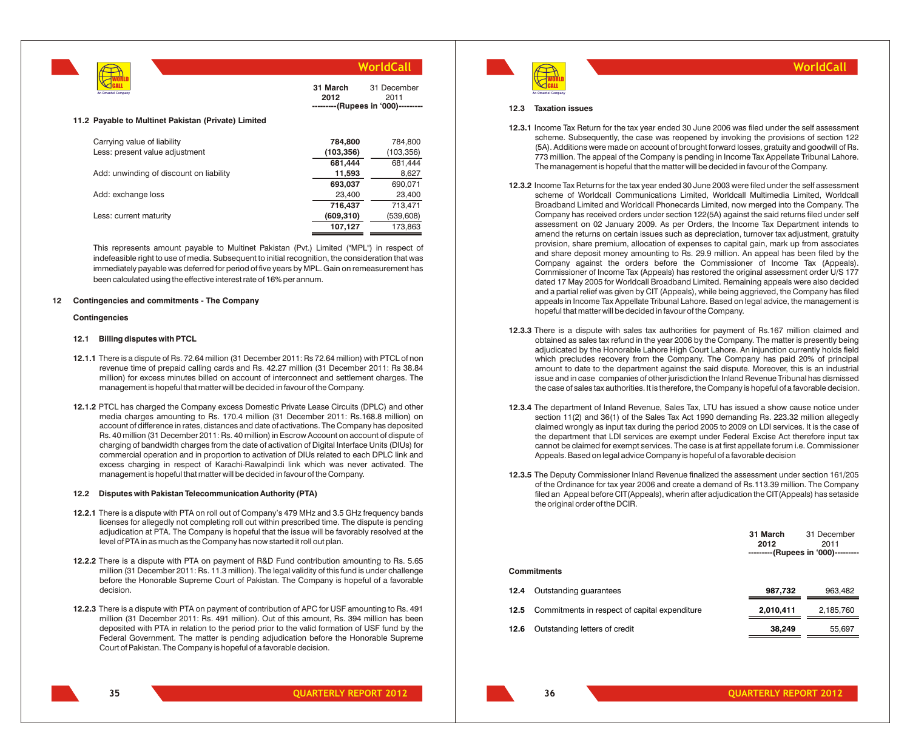

**31 March 2012** 31 December 2011 ---(Rupees in '000)---

#### **11.2 Payable to Multinet Pakistan (Private) Limited**

| Carrying value of liability             | 784,800    | 784,800    |
|-----------------------------------------|------------|------------|
| Less: present value adjustment          | (103, 356) | (103, 356) |
|                                         | 681.444    | 681,444    |
| Add: unwinding of discount on liability | 11,593     | 8,627      |
|                                         | 693,037    | 690,071    |
| Add: exchange loss                      | 23,400     | 23,400     |
|                                         | 716.437    | 713.471    |
| Less: current maturity                  | (609, 310) | (539, 608) |
|                                         | 107,127    | 173,863    |

This represents amount payable to Multinet Pakistan (Pvt.) Limited ("MPL") in respect of indefeasible right to use of media. Subsequent to initial recognition, the consideration that was immediately payable was deferred for period of five years by MPL. Gain on remeasurement has been calculated using the effective interest rate of 16% per annum.

#### **12 Contingencies and commitments - The Company**

### **Contingencies**

#### **12.1 Billing disputes with PTCL**

- **12.1.1** There is a dispute of Rs. 72.64 million (31 December 2011: Rs 72.64 million) with PTCL of non revenue time of prepaid calling cards and Rs. 42.27 million (31 December 2011: Rs 38.84 million) for excess minutes billed on account of interconnect and settlement charges. The management is hopeful that matter will be decided in favour of the Company.
- **12.1.2** PTCL has charged the Company excess Domestic Private Lease Circuits (DPLC) and other media charges amounting to Rs. 170.4 million (31 December 2011: Rs.168.8 million) on account of difference in rates, distances and date of activations. The Company has deposited Rs. 40 million (31 December 2011: Rs. 40 million) in Escrow Account on account of dispute of charging of bandwidth charges from the date of activation of Digital Interface Units (DIUs) for commercial operation and in proportion to activation of DIUs related to each DPLC link and excess charging in respect of Karachi-Rawalpindi link which was never activated. The management is hopeful that matter will be decided in favour of the Company.

#### **12.2 Disputes with Pakistan Telecommunication Authority (PTA)**

- **12.2.1** There is a dispute with PTA on roll out of Company's 479 MHz and 3.5 GHz frequency bands licenses for allegedly not completing roll out within prescribed time. The dispute is pending adjudication at PTA. The Company is hopeful that the issue will be favorably resolved at the level of PTA in as much as the Company has now started it roll out plan.
- **12.2.2** There is a dispute with PTA on payment of R&D Fund contribution amounting to Rs. 5.65 million (31 December 2011: Rs. 11.3 million). The legal validity of this fund is under challenge before the Honorable Supreme Court of Pakistan. The Company is hopeful of a favorable decision.
- **12.2.3** There is a dispute with PTA on payment of contribution of APC for USF amounting to Rs. 491 million (31 December 2011: Rs. 491 million). Out of this amount, Rs. 394 million has been deposited with PTA in relation to the period prior to the valid formation of USF fund by the Federal Government. The matter is pending adjudication before the Honorable Supreme Court of Pakistan. The Company is hopeful of a favorable decision.



## **WorldCall**

#### **12.3 Taxation issues**

- **12.3.1** Income Tax Return for the tax year ended 30 June 2006 was filed under the self assessment scheme. Subsequently, the case was reopened by invoking the provisions of section 122 (5A). Additions were made on account of brought forward losses, gratuity and goodwill of Rs. 773 million. The appeal of the Company is pending in Income Tax Appellate Tribunal Lahore. The management is hopeful that the matter will be decided in favour of the Company.
- **12.3.2** Income Tax Returns for the tax year ended 30 June 2003 were filed under the self assessment scheme of Worldcall Communications Limited, Worldcall Multimedia Limited, Worldcall Broadband Limited and Worldcall Phonecards Limited, now merged into the Company. The Company has received orders under section 122(5A) against the said returns filed under self assessment on 02 January 2009. As per Orders, the Income Tax Department intends to amend the returns on certain issues such as depreciation, turnover tax adjustment, gratuity provision, share premium, allocation of expenses to capital gain, mark up from associates and share deposit money amounting to Rs. 29.9 million. An appeal has been filed by the Company against the orders before the Commissioner of Income Tax (Appeals). Commissioner of Income Tax (Appeals) has restored the original assessment order U/S 177 dated 17 May 2005 for Worldcall Broadband Limited. Remaining appeals were also decided and a partial relief was given by CIT (Appeals), while being aggrieved, the Company has filed appeals in Income Tax Appellate Tribunal Lahore. Based on legal advice, the management is hopeful that matter will be decided in favour of the Company.
- **12.3.3** There is a dispute with sales tax authorities for payment of Rs.167 million claimed and obtained as sales tax refund in the year 2006 by the Company. The matter is presently being adjudicated by the Honorable Lahore High Court Lahore. An injunction currently holds field which precludes recovery from the Company. The Company has paid 20% of principal amount to date to the department against the said dispute. Moreover, this is an industrial issue and in case companies of other jurisdiction the Inland Revenue Tribunal has dismissed the case of sales tax authorities. It is therefore, the Company is hopeful of a favorable decision.
- **12.3.4** The department of Inland Revenue, Sales Tax, LTU has issued a show cause notice under section 11(2) and 36(1) of the Sales Tax Act 1990 demanding Rs. 223.32 million allegedly claimed wrongly as input tax during the period 2005 to 2009 on LDI services. It is the case of the department that LDI services are exempt under Federal Excise Act therefore input tax cannot be claimed for exempt services. The case is at first appellate forum i.e. Commissioner Appeals. Based on legal advice Company is hopeful of a favorable decision
- **12.3.5** The Deputy Commissioner Inland Revenue finalized the assessment under section 161/205 of the Ordinance for tax year 2006 and create a demand of Rs.113.39 million. The Company filed an Appeal before CIT(Appeals), wherin after adjudication the CIT(Appeals) has setaside the original order of the DCIR.

|                    |                                               | 31 March<br>2012<br>---------(Rupees in '000)--------- | 31 December<br>2011 |
|--------------------|-----------------------------------------------|--------------------------------------------------------|---------------------|
| <b>Commitments</b> |                                               |                                                        |                     |
| 12.4               | Outstanding quarantees                        | 987,732                                                | 963,482             |
| 12.5               | Commitments in respect of capital expenditure | 2,010,411                                              | 2,185,760           |
| 12.6               | Outstanding letters of credit                 | 38,249                                                 | 55,697              |